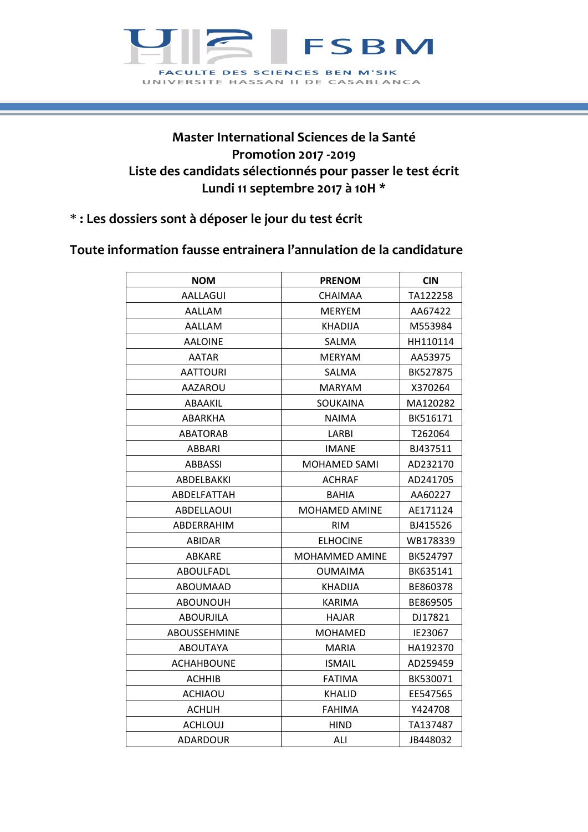

## **Master International Sciences de la Santé Promotion 2017 -2019 Liste des candidats sélectionnés pour passer le test écrit Lundi 11 septembre 2017 à 10H \***

## \* **: Les dossiers sont à déposer le jour du test écrit**

## **Toute information fausse entrainera l'annulation de la candidature**

| <b>NOM</b>          | <b>PRENOM</b>   | <b>CIN</b>      |
|---------------------|-----------------|-----------------|
| AALLAGUI            | CHAIMAA         | TA122258        |
| AALLAM              | <b>MERYEM</b>   | AA67422         |
| AALLAM              | KHADIJA         | M553984         |
| <b>AALOINE</b>      | SALMA           | HH110114        |
| <b>AATAR</b>        | <b>MERYAM</b>   | AA53975         |
| <b>AATTOURI</b>     | SALMA           | <b>BK527875</b> |
| AAZAROU             | <b>MARYAM</b>   | X370264         |
| ABAAKIL             | SOUKAINA        | MA120282        |
| ABARKHA             | NAIMA           | BK516171        |
| <b>ABATORAB</b>     | LARBI           | T262064         |
| ABBARI              | <b>IMANE</b>    | BJ437511        |
| ABBASSI             | MOHAMED SAMI    | AD232170        |
| ABDELBAKKI          | <b>ACHRAF</b>   | AD241705        |
| ABDELFATTAH         | <b>BAHIA</b>    | AA60227         |
| ABDELLAOUI          | MOHAMED AMINE   | AE171124        |
| ABDERRAHIM          | <b>RIM</b>      | BJ415526        |
| <b>ABIDAR</b>       | <b>ELHOCINE</b> | WB178339        |
| <b>ABKARE</b>       | MOHAMMED AMINE  | BK524797        |
| ABOULFADL           | OUMAIMA         | BK635141        |
| ABOUMAAD            | KHADIJA         | BE860378        |
| <b>ABOUNOUH</b>     | <b>KARIMA</b>   | BE869505        |
| <b>ABOURJILA</b>    | <b>HAJAR</b>    | DJ17821         |
| <b>ABOUSSEHMINE</b> | <b>MOHAMED</b>  | IE23067         |
| <b>ABOUTAYA</b>     | <b>MARIA</b>    | HA192370        |
| <b>ACHAHBOUNE</b>   | <b>ISMAIL</b>   | AD259459        |
| <b>ACHHIB</b>       | <b>FATIMA</b>   | BK530071        |
| <b>ACHIAOU</b>      | KHALID          | EE547565        |
| ACHLIH              | FAHIMA          | Y424708         |
| <b>ACHLOUJ</b>      | <b>HIND</b>     | TA137487        |
| <b>ADARDOUR</b>     | ALI             | JB448032        |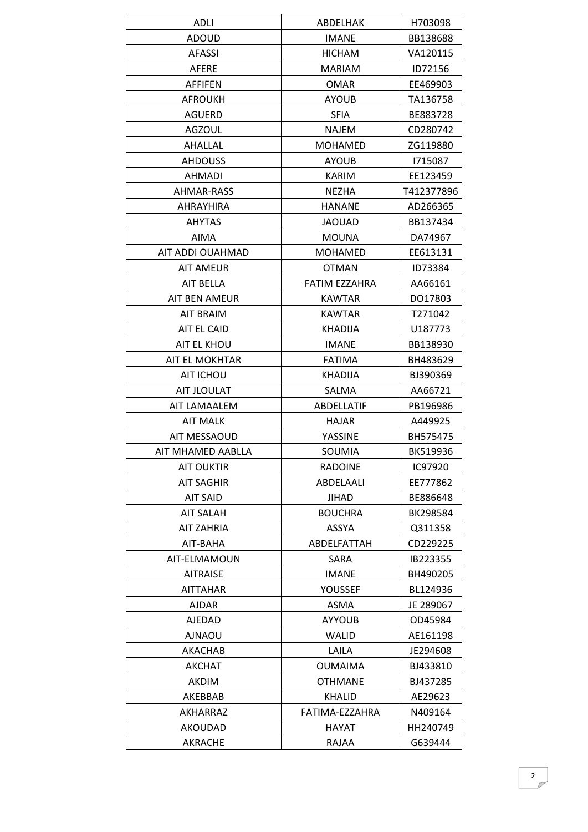| <b>ADLI</b>          | ABDELHAK       | H703098    |
|----------------------|----------------|------------|
| ADOUD                | <b>IMANE</b>   | BB138688   |
| <b>AFASSI</b>        | <b>HICHAM</b>  | VA120115   |
| <b>AFERE</b>         | MARIAM         | ID72156    |
| <b>AFFIFEN</b>       | <b>OMAR</b>    | EE469903   |
| <b>AFROUKH</b>       | <b>AYOUB</b>   | TA136758   |
| AGUERD               | <b>SFIA</b>    | BE883728   |
| <b>AGZOUL</b>        | <b>NAJEM</b>   | CD280742   |
| <b>AHALLAL</b>       | <b>MOHAMED</b> | ZG119880   |
| <b>AHDOUSS</b>       | <b>AYOUB</b>   | 1715087    |
| <b>AHMADI</b>        | <b>KARIM</b>   | EE123459   |
| AHMAR-RASS           | <b>NEZHA</b>   | T412377896 |
| <b>AHRAYHIRA</b>     | <b>HANANE</b>  | AD266365   |
| <b>AHYTAS</b>        | <b>JAOUAD</b>  | BB137434   |
| AIMA                 | <b>MOUNA</b>   | DA74967    |
| AIT ADDI OUAHMAD     | <b>MOHAMED</b> | EE613131   |
| <b>AIT AMEUR</b>     | <b>OTMAN</b>   | ID73384    |
| AIT BELLA            | FATIM EZZAHRA  | AA66161    |
| <b>AIT BEN AMEUR</b> | <b>KAWTAR</b>  | DO17803    |
| AIT BRAIM            | <b>KAWTAR</b>  | T271042    |
| AIT EL CAID          | <b>KHADIJA</b> | U187773    |
| AIT EL KHOU          | <b>IMANE</b>   | BB138930   |
| AIT EL MOKHTAR       | <b>FATIMA</b>  | BH483629   |
| AIT ICHOU            | <b>KHADIJA</b> | BJ390369   |
| AIT JLOULAT          | SALMA          | AA66721    |
| AIT LAMAALEM         | ABDELLATIF     | PB196986   |
| <b>AIT MALK</b>      | <b>HAJAR</b>   | A449925    |
| <b>AIT MESSAOUD</b>  | YASSINE        | BH575475   |
| AIT MHAMED AABLLA    | SOUMIA         | BK519936   |
| <b>AIT OUKTIR</b>    | <b>RADOINE</b> | IC97920    |
| <b>AIT SAGHIR</b>    | ABDELAALI      | EE777862   |
| <b>AIT SAID</b>      | JIHAD          | BE886648   |
| <b>AIT SALAH</b>     | <b>BOUCHRA</b> | BK298584   |
| <b>AIT ZAHRIA</b>    | ASSYA          | Q311358    |
| AIT-BAHA             | ABDELFATTAH    | CD229225   |
| AIT-ELMAMOUN         | SARA           | IB223355   |
| <b>AITRAISE</b>      | <b>IMANE</b>   | BH490205   |
| <b>AITTAHAR</b>      | YOUSSEF        | BL124936   |
| <b>AJDAR</b>         | ASMA           | JE 289067  |
| <b>AJEDAD</b>        | <b>AYYOUB</b>  | OD45984    |
| <b>AJNAOU</b>        | WALID          | AE161198   |
| AKACHAB              | LAILA          | JE294608   |
| AKCHAT               | <b>OUMAIMA</b> | BJ433810   |
| AKDIM                | <b>OTHMANE</b> | BJ437285   |
| AKEBBAB              | <b>KHALID</b>  | AE29623    |
| AKHARRAZ             | FATIMA-EZZAHRA | N409164    |
| AKOUDAD              | HAYAT          | HH240749   |
| AKRACHE              | RAJAA          | G639444    |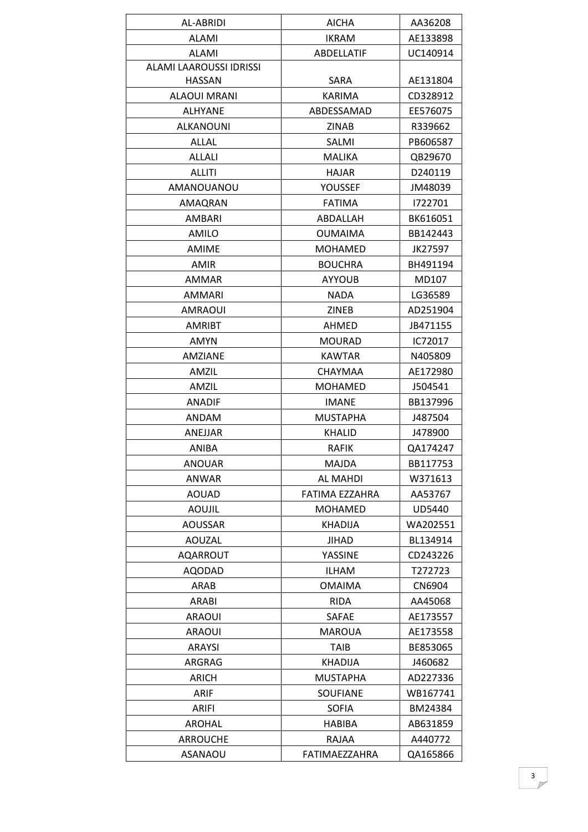| AL-ABRIDI               | <b>AICHA</b>    | AA36208  |
|-------------------------|-----------------|----------|
| <b>ALAMI</b>            | <b>IKRAM</b>    | AE133898 |
| <b>ALAMI</b>            | ABDELLATIF      | UC140914 |
| ALAMI LAAROUSSI IDRISSI |                 |          |
| <b>HASSAN</b>           | SARA            | AE131804 |
| <b>ALAOUI MRANI</b>     | <b>KARIMA</b>   | CD328912 |
| <b>ALHYANE</b>          | ABDESSAMAD      | EE576075 |
| <b>ALKANOUNI</b>        | <b>ZINAB</b>    | R339662  |
| <b>ALLAL</b>            | SALMI           | PB606587 |
| <b>ALLALI</b>           | <b>MALIKA</b>   | QB29670  |
| ALLITI                  | HAJAR           | D240119  |
| AMANOUANOU              | YOUSSEF         | JM48039  |
| AMAQRAN                 | <b>FATIMA</b>   | 1722701  |
| <b>AMBARI</b>           | ABDALLAH        | BK616051 |
| AMILO                   | <b>OUMAIMA</b>  | BB142443 |
| <b>AMIME</b>            | <b>MOHAMED</b>  | JK27597  |
| AMIR                    | <b>BOUCHRA</b>  | BH491194 |
| AMMAR                   | <b>AYYOUB</b>   | MD107    |
| AMMARI                  | <b>NADA</b>     | LG36589  |
| AMRAOUI                 | ZINEB           | AD251904 |
| <b>AMRIBT</b>           | AHMED           | JB471155 |
| <b>AMYN</b>             | <b>MOURAD</b>   | IC72017  |
| AMZIANE                 | <b>KAWTAR</b>   | N405809  |
| AMZIL                   | CHAYMAA         | AE172980 |
| AMZIL                   | <b>MOHAMED</b>  | J504541  |
| <b>ANADIF</b>           | <b>IMANE</b>    | BB137996 |
| <b>ANDAM</b>            | <b>MUSTAPHA</b> | J487504  |
| ANEJJAR                 | <b>KHALID</b>   | J478900  |
| ANIBA                   | <b>RAFIK</b>    | QA174247 |
| <b>ANOUAR</b>           | <b>MAJDA</b>    | BB117753 |
| ANWAR                   | <b>AL MAHDI</b> | W371613  |
| <b>AOUAD</b>            | FATIMA EZZAHRA  | AA53767  |
| <b>AOUJIL</b>           | <b>MOHAMED</b>  | UD5440   |
| AOUSSAR                 | <b>KHADIJA</b>  | WA202551 |
| <b>AOUZAL</b>           | <b>JIHAD</b>    | BL134914 |
| <b>AQARROUT</b>         | YASSINE         | CD243226 |
| <b>AQODAD</b>           | ILHAM           | T272723  |
| ARAB                    | <b>OMAIMA</b>   | CN6904   |
| ARABI                   | <b>RIDA</b>     | AA45068  |
| <b>ARAOUI</b>           | SAFAE           | AE173557 |
| <b>ARAOUI</b>           | <b>MAROUA</b>   | AE173558 |
| <b>ARAYSI</b>           | TAIB            | BE853065 |
| ARGRAG                  | <b>KHADIJA</b>  | J460682  |
| ARICH                   | <b>MUSTAPHA</b> | AD227336 |
| ARIF                    | SOUFIANE        | WB167741 |
| ARIFI                   | <b>SOFIA</b>    | BM24384  |
| <b>AROHAL</b>           | HABIBA          | AB631859 |
| <b>ARROUCHE</b>         | RAJAA           | A440772  |
| ASANAOU                 | FATIMAEZZAHRA   | QA165866 |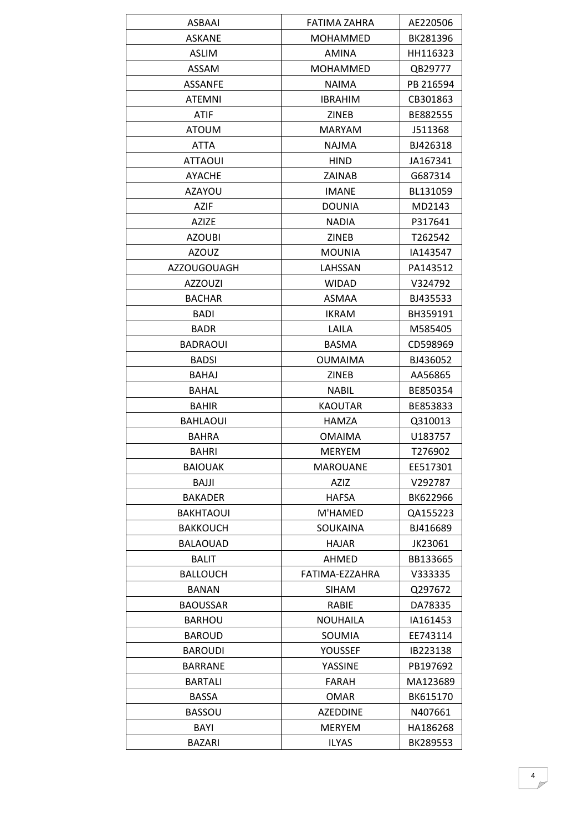| <b>ASKANE</b><br><b>MOHAMMED</b><br>BK281396<br>HH116323<br>ASLIM<br><b>AMINA</b><br><b>ASSAM</b><br><b>MOHAMMED</b><br>QB29777<br><b>ASSANFE</b><br><b>NAIMA</b><br>PB 216594<br><b>ATEMNI</b><br><b>IBRAHIM</b><br>CB301863<br><b>ATIF</b><br><b>ZINEB</b><br>BE882555<br><b>ATOUM</b><br><b>MARYAM</b><br>J511368<br>ATTA<br><b>NAJMA</b><br>BJ426318<br><b>ATTAOUI</b><br><b>HIND</b><br>JA167341<br><b>AYACHE</b><br>ZAINAB<br>G687314<br><b>AZAYOU</b><br><b>IMANE</b><br>BL131059<br><b>AZIF</b><br><b>DOUNIA</b><br>MD2143<br>AZIZE<br><b>NADIA</b><br>P317641<br>T262542<br><b>AZOUBI</b><br>ZINEB<br><b>AZOUZ</b><br><b>MOUNIA</b><br>IA143547<br>PA143512<br><b>AZZOUGOUAGH</b><br>LAHSSAN<br><b>AZZOUZI</b><br><b>WIDAD</b><br>V324792 |
|----------------------------------------------------------------------------------------------------------------------------------------------------------------------------------------------------------------------------------------------------------------------------------------------------------------------------------------------------------------------------------------------------------------------------------------------------------------------------------------------------------------------------------------------------------------------------------------------------------------------------------------------------------------------------------------------------------------------------------------------------|
|                                                                                                                                                                                                                                                                                                                                                                                                                                                                                                                                                                                                                                                                                                                                                    |
|                                                                                                                                                                                                                                                                                                                                                                                                                                                                                                                                                                                                                                                                                                                                                    |
|                                                                                                                                                                                                                                                                                                                                                                                                                                                                                                                                                                                                                                                                                                                                                    |
|                                                                                                                                                                                                                                                                                                                                                                                                                                                                                                                                                                                                                                                                                                                                                    |
|                                                                                                                                                                                                                                                                                                                                                                                                                                                                                                                                                                                                                                                                                                                                                    |
|                                                                                                                                                                                                                                                                                                                                                                                                                                                                                                                                                                                                                                                                                                                                                    |
|                                                                                                                                                                                                                                                                                                                                                                                                                                                                                                                                                                                                                                                                                                                                                    |
|                                                                                                                                                                                                                                                                                                                                                                                                                                                                                                                                                                                                                                                                                                                                                    |
|                                                                                                                                                                                                                                                                                                                                                                                                                                                                                                                                                                                                                                                                                                                                                    |
|                                                                                                                                                                                                                                                                                                                                                                                                                                                                                                                                                                                                                                                                                                                                                    |
|                                                                                                                                                                                                                                                                                                                                                                                                                                                                                                                                                                                                                                                                                                                                                    |
|                                                                                                                                                                                                                                                                                                                                                                                                                                                                                                                                                                                                                                                                                                                                                    |
|                                                                                                                                                                                                                                                                                                                                                                                                                                                                                                                                                                                                                                                                                                                                                    |
|                                                                                                                                                                                                                                                                                                                                                                                                                                                                                                                                                                                                                                                                                                                                                    |
|                                                                                                                                                                                                                                                                                                                                                                                                                                                                                                                                                                                                                                                                                                                                                    |
|                                                                                                                                                                                                                                                                                                                                                                                                                                                                                                                                                                                                                                                                                                                                                    |
|                                                                                                                                                                                                                                                                                                                                                                                                                                                                                                                                                                                                                                                                                                                                                    |
| <b>BACHAR</b><br><b>ASMAA</b><br>BJ435533                                                                                                                                                                                                                                                                                                                                                                                                                                                                                                                                                                                                                                                                                                          |
| <b>BADI</b><br><b>IKRAM</b><br>BH359191                                                                                                                                                                                                                                                                                                                                                                                                                                                                                                                                                                                                                                                                                                            |
| <b>BADR</b><br>LAILA<br>M585405                                                                                                                                                                                                                                                                                                                                                                                                                                                                                                                                                                                                                                                                                                                    |
| <b>BASMA</b><br>CD598969<br><b>BADRAOUI</b>                                                                                                                                                                                                                                                                                                                                                                                                                                                                                                                                                                                                                                                                                                        |
| <b>BADSI</b><br><b>OUMAIMA</b><br>BJ436052                                                                                                                                                                                                                                                                                                                                                                                                                                                                                                                                                                                                                                                                                                         |
| <b>BAHAJ</b><br><b>ZINEB</b><br>AA56865                                                                                                                                                                                                                                                                                                                                                                                                                                                                                                                                                                                                                                                                                                            |
| <b>BAHAL</b><br><b>NABIL</b><br>BE850354                                                                                                                                                                                                                                                                                                                                                                                                                                                                                                                                                                                                                                                                                                           |
| <b>BAHIR</b><br><b>KAOUTAR</b><br>BE853833                                                                                                                                                                                                                                                                                                                                                                                                                                                                                                                                                                                                                                                                                                         |
| Q310013<br><b>BAHLAOUI</b><br>HAMZA                                                                                                                                                                                                                                                                                                                                                                                                                                                                                                                                                                                                                                                                                                                |
| <b>BAHRA</b><br><b>OMAIMA</b><br>U183757                                                                                                                                                                                                                                                                                                                                                                                                                                                                                                                                                                                                                                                                                                           |
| T276902<br><b>BAHRI</b><br><b>MERYEM</b>                                                                                                                                                                                                                                                                                                                                                                                                                                                                                                                                                                                                                                                                                                           |
| <b>BAIOUAK</b><br><b>MAROUANE</b><br>EE517301                                                                                                                                                                                                                                                                                                                                                                                                                                                                                                                                                                                                                                                                                                      |
| BAJJI<br>AZIZ<br>V292787                                                                                                                                                                                                                                                                                                                                                                                                                                                                                                                                                                                                                                                                                                                           |
| <b>BAKADER</b><br><b>HAFSA</b><br>BK622966                                                                                                                                                                                                                                                                                                                                                                                                                                                                                                                                                                                                                                                                                                         |
| QA155223<br><b>BAKHTAOUI</b><br>M'HAMED                                                                                                                                                                                                                                                                                                                                                                                                                                                                                                                                                                                                                                                                                                            |
| <b>SOUKAINA</b><br>BJ416689<br><b>BAKKOUCH</b>                                                                                                                                                                                                                                                                                                                                                                                                                                                                                                                                                                                                                                                                                                     |
| <b>BALAOUAD</b><br>HAJAR<br>JK23061                                                                                                                                                                                                                                                                                                                                                                                                                                                                                                                                                                                                                                                                                                                |
| <b>BALIT</b><br>AHMED<br>BB133665                                                                                                                                                                                                                                                                                                                                                                                                                                                                                                                                                                                                                                                                                                                  |
| <b>BALLOUCH</b><br>FATIMA-EZZAHRA<br>V333335                                                                                                                                                                                                                                                                                                                                                                                                                                                                                                                                                                                                                                                                                                       |
| <b>BANAN</b><br><b>SIHAM</b><br>Q297672                                                                                                                                                                                                                                                                                                                                                                                                                                                                                                                                                                                                                                                                                                            |
| <b>BAOUSSAR</b><br><b>RABIE</b><br>DA78335                                                                                                                                                                                                                                                                                                                                                                                                                                                                                                                                                                                                                                                                                                         |
| <b>NOUHAILA</b><br><b>BARHOU</b><br>IA161453                                                                                                                                                                                                                                                                                                                                                                                                                                                                                                                                                                                                                                                                                                       |
| <b>BAROUD</b><br>SOUMIA<br>EE743114                                                                                                                                                                                                                                                                                                                                                                                                                                                                                                                                                                                                                                                                                                                |
| <b>BAROUDI</b><br>YOUSSEF<br>IB223138                                                                                                                                                                                                                                                                                                                                                                                                                                                                                                                                                                                                                                                                                                              |
|                                                                                                                                                                                                                                                                                                                                                                                                                                                                                                                                                                                                                                                                                                                                                    |
| <b>BARRANE</b><br>YASSINE<br>PB197692                                                                                                                                                                                                                                                                                                                                                                                                                                                                                                                                                                                                                                                                                                              |
| <b>BARTALI</b><br>FARAH<br>MA123689                                                                                                                                                                                                                                                                                                                                                                                                                                                                                                                                                                                                                                                                                                                |
| BK615170<br><b>BASSA</b><br><b>OMAR</b>                                                                                                                                                                                                                                                                                                                                                                                                                                                                                                                                                                                                                                                                                                            |
| <b>BASSOU</b><br><b>AZEDDINE</b><br>N407661                                                                                                                                                                                                                                                                                                                                                                                                                                                                                                                                                                                                                                                                                                        |
| BAYI<br><b>MERYEM</b><br>HA186268                                                                                                                                                                                                                                                                                                                                                                                                                                                                                                                                                                                                                                                                                                                  |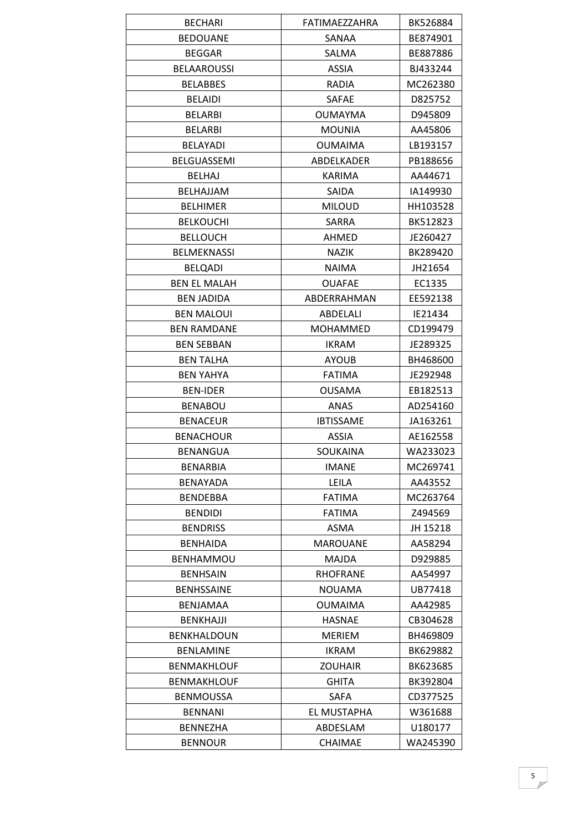| <b>BECHARI</b>      | FATIMAEZZAHRA    | BK526884 |
|---------------------|------------------|----------|
| <b>BEDOUANE</b>     | SANAA            | BE874901 |
| <b>BEGGAR</b>       | <b>SALMA</b>     | BE887886 |
| <b>BELAAROUSSI</b>  | <b>ASSIA</b>     | BJ433244 |
| <b>BELABBES</b>     | RADIA            | MC262380 |
| <b>BELAIDI</b>      | SAFAE            | D825752  |
| <b>BELARBI</b>      | <b>OUMAYMA</b>   | D945809  |
| <b>BELARBI</b>      | <b>MOUNIA</b>    | AA45806  |
| <b>BELAYADI</b>     | <b>OUMAIMA</b>   | LB193157 |
| BELGUASSEMI         | ABDELKADER       | PB188656 |
| <b>BELHAJ</b>       | KARIMA           | AA44671  |
| BELHAJJAM           | SAIDA            | IA149930 |
| <b>BELHIMER</b>     | <b>MILOUD</b>    | HH103528 |
| <b>BELKOUCHI</b>    | SARRA            | BK512823 |
| <b>BELLOUCH</b>     | AHMED            | JE260427 |
| <b>BELMEKNASSI</b>  | <b>NAZIK</b>     | BK289420 |
| <b>BELQADI</b>      | <b>NAIMA</b>     | JH21654  |
| <b>BEN EL MALAH</b> | <b>OUAFAE</b>    | EC1335   |
| <b>BEN JADIDA</b>   | ABDERRAHMAN      | EE592138 |
| <b>BEN MALOUI</b>   | ABDELALI         | IE21434  |
| <b>BEN RAMDANE</b>  | MOHAMMED         | CD199479 |
| <b>BEN SEBBAN</b>   | <b>IKRAM</b>     | JE289325 |
| <b>BEN TALHA</b>    | <b>AYOUB</b>     | BH468600 |
| <b>BEN YAHYA</b>    | <b>FATIMA</b>    | JE292948 |
| <b>BEN-IDER</b>     | <b>OUSAMA</b>    | EB182513 |
| <b>BENABOU</b>      | <b>ANAS</b>      | AD254160 |
| <b>BENACEUR</b>     | <b>IBTISSAME</b> | JA163261 |
| <b>BENACHOUR</b>    | <b>ASSIA</b>     | AE162558 |
| <b>BENANGUA</b>     | SOUKAINA         | WA233023 |
| <b>BENARBIA</b>     | <b>IMANE</b>     | MC269741 |
| <b>BENAYADA</b>     | LEILA            | AA43552  |
| <b>BENDEBBA</b>     | <b>FATIMA</b>    | MC263764 |
| <b>BENDIDI</b>      | <b>FATIMA</b>    | Z494569  |
| <b>BENDRISS</b>     | <b>ASMA</b>      | JH 15218 |
| <b>BENHAIDA</b>     | <b>MAROUANE</b>  | AA58294  |
| <b>BENHAMMOU</b>    | <b>MAJDA</b>     | D929885  |
| <b>BENHSAIN</b>     | <b>RHOFRANE</b>  | AA54997  |
| <b>BENHSSAINE</b>   | <b>NOUAMA</b>    | UB77418  |
| BENJAMAA            | <b>OUMAIMA</b>   | AA42985  |
| <b>BENKHAJJI</b>    | <b>HASNAE</b>    | CB304628 |
| <b>BENKHALDOUN</b>  | <b>MERIEM</b>    | BH469809 |
| <b>BENLAMINE</b>    | <b>IKRAM</b>     | BK629882 |
| <b>BENMAKHLOUF</b>  | <b>ZOUHAIR</b>   | BK623685 |
| <b>BENMAKHLOUF</b>  | GHITA            | BK392804 |
| <b>BENMOUSSA</b>    | SAFA             | CD377525 |
| <b>BENNANI</b>      | EL MUSTAPHA      | W361688  |
| <b>BENNEZHA</b>     | ABDESLAM         | U180177  |
| <b>BENNOUR</b>      | <b>CHAIMAE</b>   | WA245390 |
|                     |                  |          |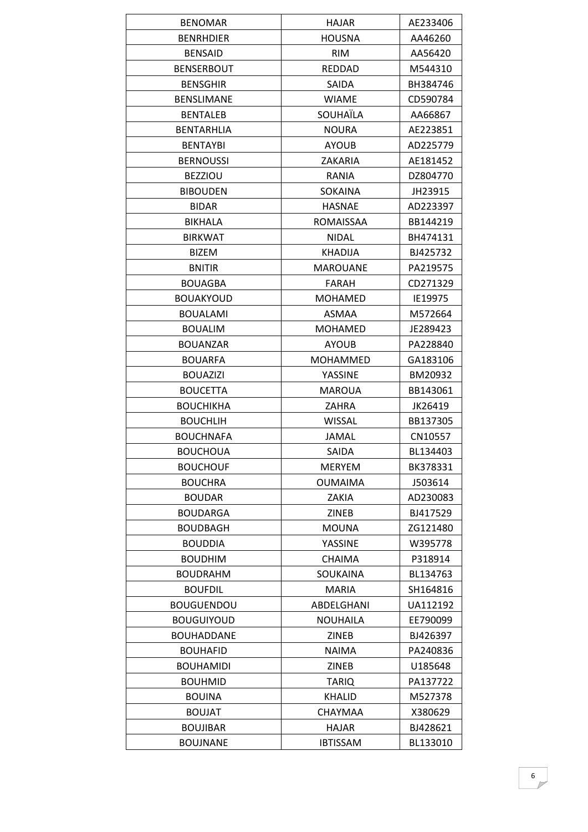| <b>BENOMAR</b>    | HAJAR            | AE233406 |
|-------------------|------------------|----------|
| <b>BENRHDIER</b>  | <b>HOUSNA</b>    | AA46260  |
| <b>BENSAID</b>    | <b>RIM</b>       | AA56420  |
| <b>BENSERBOUT</b> | <b>REDDAD</b>    | M544310  |
| <b>BENSGHIR</b>   | SAIDA            | BH384746 |
| <b>BENSLIMANE</b> | <b>WIAME</b>     | CD590784 |
| <b>BENTALEB</b>   | SOUHAÏLA         | AA66867  |
| <b>BENTARHLIA</b> | <b>NOURA</b>     | AE223851 |
| <b>BENTAYBI</b>   | <b>AYOUB</b>     | AD225779 |
| <b>BERNOUSSI</b>  | ZAKARIA          | AE181452 |
| <b>BEZZIOU</b>    | RANIA            | DZ804770 |
| <b>BIBOUDEN</b>   | <b>SOKAINA</b>   | JH23915  |
| <b>BIDAR</b>      | <b>HASNAE</b>    | AD223397 |
| <b>BIKHALA</b>    | <b>ROMAISSAA</b> | BB144219 |
| <b>BIRKWAT</b>    | <b>NIDAL</b>     | BH474131 |
| <b>BIZEM</b>      | <b>KHADIJA</b>   | BJ425732 |
| <b>BNITIR</b>     | <b>MAROUANE</b>  | PA219575 |
| <b>BOUAGBA</b>    | FARAH            | CD271329 |
| <b>BOUAKYOUD</b>  | <b>MOHAMED</b>   | IE19975  |
| <b>BOUALAMI</b>   | <b>ASMAA</b>     | M572664  |
| <b>BOUALIM</b>    | <b>MOHAMED</b>   | JE289423 |
| <b>BOUANZAR</b>   | <b>AYOUB</b>     | PA228840 |
| <b>BOUARFA</b>    | <b>MOHAMMED</b>  | GA183106 |
| <b>BOUAZIZI</b>   | YASSINE          | BM20932  |
| <b>BOUCETTA</b>   | <b>MAROUA</b>    | BB143061 |
| <b>BOUCHIKHA</b>  | ZAHRA            | JK26419  |
| <b>BOUCHLIH</b>   | <b>WISSAL</b>    | BB137305 |
| <b>BOUCHNAFA</b>  | JAMAL            | CN10557  |
| <b>BOUCHOUA</b>   | SAIDA            | BL134403 |
| <b>BOUCHOUF</b>   | <b>MERYEM</b>    | BK378331 |
| <b>BOUCHRA</b>    | <b>OUMAIMA</b>   | J503614  |
| <b>BOUDAR</b>     | ZAKIA            | AD230083 |
| <b>BOUDARGA</b>   | <b>ZINEB</b>     | BJ417529 |
| <b>BOUDBAGH</b>   | <b>MOUNA</b>     | ZG121480 |
| <b>BOUDDIA</b>    | YASSINE          | W395778  |
| <b>BOUDHIM</b>    | <b>CHAIMA</b>    | P318914  |
| <b>BOUDRAHM</b>   | <b>SOUKAINA</b>  | BL134763 |
| <b>BOUFDIL</b>    | <b>MARIA</b>     | SH164816 |
| <b>BOUGUENDOU</b> | ABDELGHANI       | UA112192 |
| <b>BOUGUIYOUD</b> | <b>NOUHAILA</b>  | EE790099 |
| <b>BOUHADDANE</b> | ZINEB            | BJ426397 |
| <b>BOUHAFID</b>   | <b>NAIMA</b>     | PA240836 |
| <b>BOUHAMIDI</b>  | <b>ZINEB</b>     | U185648  |
| <b>BOUHMID</b>    | <b>TARIQ</b>     | PA137722 |
| <b>BOUINA</b>     | <b>KHALID</b>    | M527378  |
| <b>BOUJAT</b>     | CHAYMAA          | X380629  |
| <b>BOUJIBAR</b>   | HAJAR            | BJ428621 |
| <b>BOUJNANE</b>   | <b>IBTISSAM</b>  | BL133010 |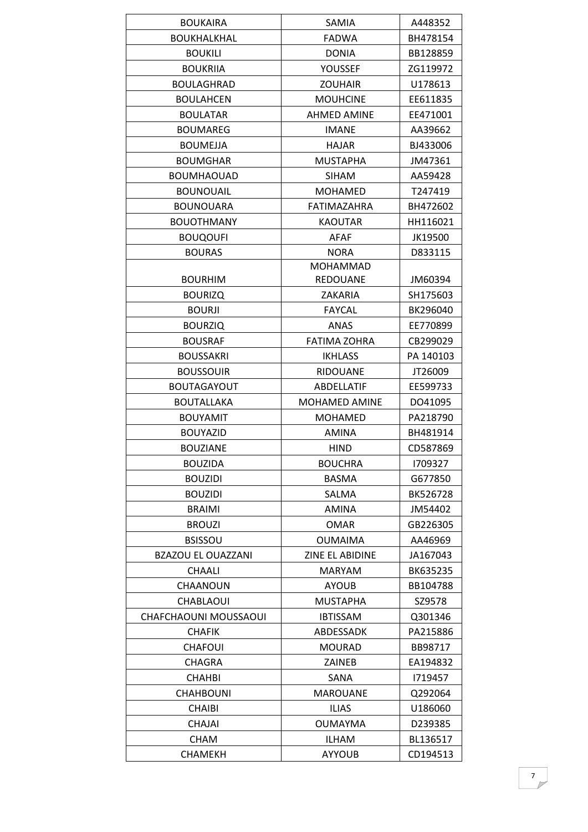| <b>BOUKAIRA</b>           | SAMIA                | A448352   |
|---------------------------|----------------------|-----------|
| <b>BOUKHALKHAL</b>        | <b>FADWA</b>         | BH478154  |
| <b>BOUKILI</b>            | <b>DONIA</b>         | BB128859  |
| <b>BOUKRIJA</b>           | <b>YOUSSEF</b>       | ZG119972  |
| <b>BOULAGHRAD</b>         | <b>ZOUHAIR</b>       | U178613   |
| <b>BOULAHCEN</b>          | <b>MOUHCINE</b>      | EE611835  |
| <b>BOULATAR</b>           | <b>AHMED AMINE</b>   | EE471001  |
| <b>BOUMAREG</b>           | <b>IMANE</b>         | AA39662   |
| <b>BOUMEJJA</b>           | <b>HAJAR</b>         | BJ433006  |
| <b>BOUMGHAR</b>           | <b>MUSTAPHA</b>      | JM47361   |
| <b>BOUMHAOUAD</b>         | <b>SIHAM</b>         | AA59428   |
| <b>BOUNOUAIL</b>          | <b>MOHAMED</b>       | T247419   |
| <b>BOUNOUARA</b>          | FATIMAZAHRA          | BH472602  |
| <b>BOUOTHMANY</b>         | <b>KAOUTAR</b>       | HH116021  |
| <b>BOUQOUFI</b>           | <b>AFAF</b>          | JK19500   |
| <b>BOURAS</b>             | <b>NORA</b>          | D833115   |
|                           | <b>MOHAMMAD</b>      |           |
| <b>BOURHIM</b>            | <b>REDOUANE</b>      | JM60394   |
| <b>BOURIZQ</b>            | ZAKARIA              | SH175603  |
| <b>BOURJI</b>             | <b>FAYCAL</b>        | BK296040  |
| <b>BOURZIQ</b>            | ANAS                 | EE770899  |
| <b>BOUSRAF</b>            | <b>FATIMA ZOHRA</b>  | CB299029  |
| <b>BOUSSAKRI</b>          | <b>IKHLASS</b>       | PA 140103 |
| <b>BOUSSOUIR</b>          | <b>RIDOUANE</b>      | JT26009   |
| <b>BOUTAGAYOUT</b>        | <b>ABDELLATIF</b>    | EE599733  |
| <b>BOUTALLAKA</b>         | <b>MOHAMED AMINE</b> | DO41095   |
| <b>BOUYAMIT</b>           | <b>MOHAMED</b>       | PA218790  |
| <b>BOUYAZID</b>           | <b>AMINA</b>         | BH481914  |
| <b>BOUZIANE</b>           | <b>HIND</b>          | CD587869  |
| <b>BOUZIDA</b>            | <b>BOUCHRA</b>       | 1709327   |
| <b>BOUZIDI</b>            | BASMA                | G677850   |
| <b>BOUZIDI</b>            | SALMA                | BK526728  |
| <b>BRAIMI</b>             | AMINA                | JM54402   |
| <b>BROUZI</b>             | <b>OMAR</b>          | GB226305  |
| <b>BSISSOU</b>            | <b>OUMAIMA</b>       | AA46969   |
| <b>BZAZOU EL OUAZZANI</b> | ZINE EL ABIDINE      | JA167043  |
| <b>CHAALI</b>             | <b>MARYAM</b>        | BK635235  |
| CHAANOUN                  | <b>AYOUB</b>         | BB104788  |
| CHABLAOUI                 | <b>MUSTAPHA</b>      | SZ9578    |
| CHAFCHAOUNI MOUSSAOUI     | <b>IBTISSAM</b>      | Q301346   |
| <b>CHAFIK</b>             | ABDESSADK            | PA215886  |
| <b>CHAFOUI</b>            | <b>MOURAD</b>        | BB98717   |
| CHAGRA                    | ZAINEB               | EA194832  |
| <b>CHAHBI</b>             | SANA                 | 1719457   |
| <b>CHAHBOUNI</b>          | <b>MAROUANE</b>      | Q292064   |
| <b>CHAIBI</b>             | <b>ILIAS</b>         | U186060   |
| <b>CHAJAI</b>             | <b>OUMAYMA</b>       | D239385   |
| <b>CHAM</b>               | <b>ILHAM</b>         | BL136517  |
| <b>CHAMEKH</b>            | <b>AYYOUB</b>        | CD194513  |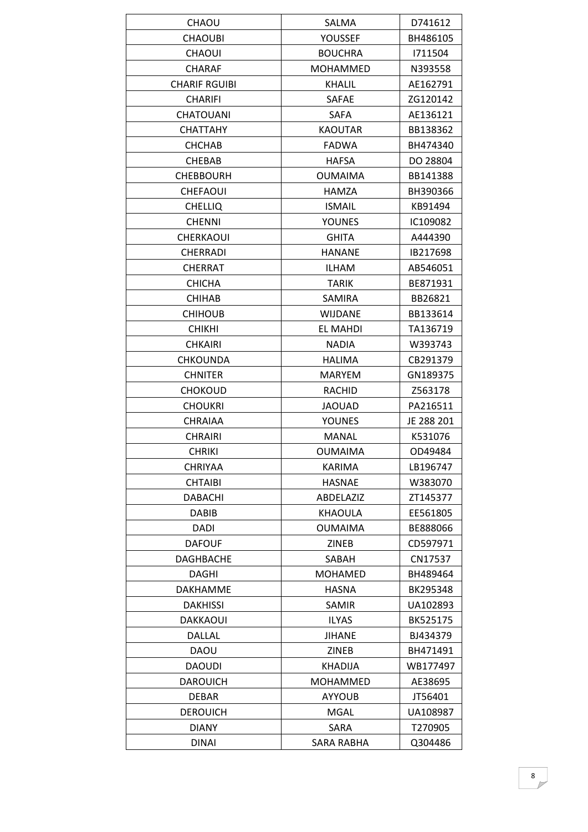| <b>CHAOU</b>         | SALMA           | D741612    |
|----------------------|-----------------|------------|
| <b>CHAOUBI</b>       | YOUSSEF         | BH486105   |
| <b>CHAOUI</b>        | <b>BOUCHRA</b>  | 1711504    |
| <b>CHARAF</b>        | <b>MOHAMMED</b> | N393558    |
| <b>CHARIF RGUIBI</b> | <b>KHALIL</b>   | AE162791   |
| <b>CHARIFI</b>       | <b>SAFAE</b>    | ZG120142   |
| <b>CHATOUANI</b>     | SAFA            | AE136121   |
| <b>CHATTAHY</b>      | <b>KAOUTAR</b>  | BB138362   |
| CHCHAB               | <b>FADWA</b>    | BH474340   |
| <b>CHEBAB</b>        | <b>HAFSA</b>    | DO 28804   |
| <b>CHEBBOURH</b>     | <b>OUMAIMA</b>  | BB141388   |
| <b>CHEFAOUI</b>      | HAMZA           | BH390366   |
| <b>CHELLIQ</b>       | <b>ISMAIL</b>   | KB91494    |
| <b>CHENNI</b>        | <b>YOUNES</b>   | IC109082   |
| CHERKAOUI            | <b>GHITA</b>    | A444390    |
| <b>CHERRADI</b>      | <b>HANANE</b>   | IB217698   |
| <b>CHERRAT</b>       | ILHAM           | AB546051   |
| <b>CHICHA</b>        | <b>TARIK</b>    | BE871931   |
| <b>CHIHAB</b>        | <b>SAMIRA</b>   | BB26821    |
| <b>CHIHOUB</b>       | WIJDANE         | BB133614   |
| <b>CHIKHI</b>        | EL MAHDI        | TA136719   |
| <b>CHKAIRI</b>       | <b>NADIA</b>    | W393743    |
| <b>CHKOUNDA</b>      | HALIMA          | CB291379   |
| <b>CHNITER</b>       | <b>MARYEM</b>   | GN189375   |
| <b>CHOKOUD</b>       | <b>RACHID</b>   | Z563178    |
| <b>CHOUKRI</b>       | <b>JAOUAD</b>   | PA216511   |
| CHRAIAA              | <b>YOUNES</b>   | JE 288 201 |
| <b>CHRAIRI</b>       | <b>MANAL</b>    | K531076    |
| <b>CHRIKI</b>        | <b>OUMAIMA</b>  | OD49484    |
| <b>CHRIYAA</b>       | <b>KARIMA</b>   | LB196747   |
| <b>CHTAIBI</b>       | <b>HASNAE</b>   | W383070    |
| <b>DABACHI</b>       | ABDELAZIZ       | ZT145377   |
| <b>DABIB</b>         | <b>KHAOULA</b>  | EE561805   |
| <b>DADI</b>          | <b>OUMAIMA</b>  | BE888066   |
| <b>DAFOUF</b>        | ZINEB           | CD597971   |
| <b>DAGHBACHE</b>     | SABAH           | CN17537    |
| DAGHI                | <b>MOHAMED</b>  | BH489464   |
| <b>DAKHAMME</b>      | <b>HASNA</b>    | BK295348   |
| <b>DAKHISSI</b>      | SAMIR           | UA102893   |
| DAKKAOUI             | <b>ILYAS</b>    | BK525175   |
| DALLAL               | <b>JIHANE</b>   | BJ434379   |
| DAOU                 | <b>ZINEB</b>    | BH471491   |
| <b>DAOUDI</b>        | KHADIJA         | WB177497   |
| <b>DAROUICH</b>      | MOHAMMED        | AE38695    |
| DEBAR                | <b>AYYOUB</b>   | JT56401    |
| <b>DEROUICH</b>      | MGAL            | UA108987   |
| <b>DIANY</b>         | SARA            | T270905    |
| <b>DINAI</b>         | SARA RABHA      | Q304486    |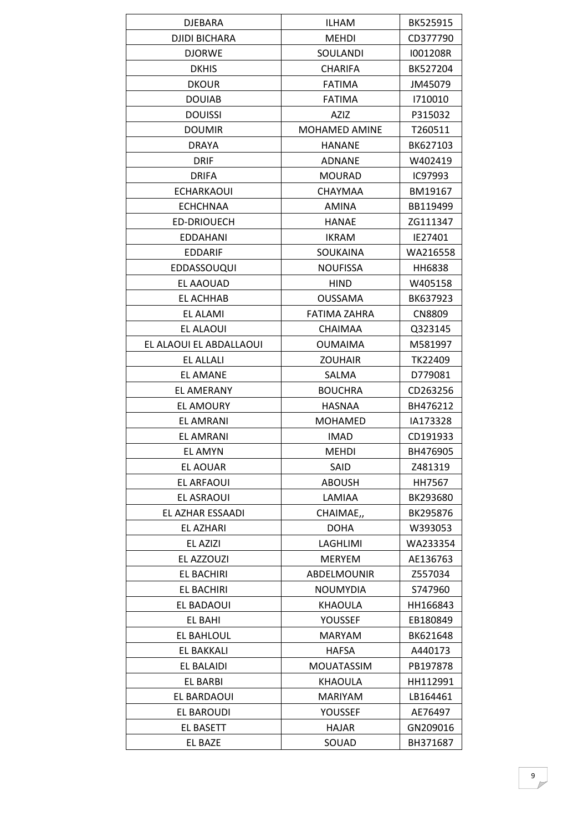| <b>DJEBARA</b>          | ILHAM                | BK525915      |
|-------------------------|----------------------|---------------|
| <b>DJIDI BICHARA</b>    | <b>MEHDI</b>         | CD377790      |
| <b>DJORWE</b>           | SOULANDI             | I001208R      |
| <b>DKHIS</b>            | <b>CHARIFA</b>       | BK527204      |
| <b>DKOUR</b>            | <b>FATIMA</b>        | JM45079       |
| <b>DOUIAB</b>           | <b>FATIMA</b>        | 1710010       |
| <b>DOUISSI</b>          | AZIZ                 | P315032       |
| <b>DOUMIR</b>           | <b>MOHAMED AMINE</b> | T260511       |
| <b>DRAYA</b>            | <b>HANANE</b>        | BK627103      |
| <b>DRIF</b>             | ADNANE               | W402419       |
| <b>DRIFA</b>            | <b>MOURAD</b>        | IC97993       |
| <b>ECHARKAOUI</b>       | CHAYMAA              | BM19167       |
| <b>ECHCHNAA</b>         | <b>AMINA</b>         | BB119499      |
| <b>ED-DRIOUECH</b>      | <b>HANAE</b>         | ZG111347      |
| <b>EDDAHANI</b>         | <b>IKRAM</b>         | IE27401       |
| <b>EDDARIF</b>          | <b>SOUKAINA</b>      | WA216558      |
| <b>EDDASSOUQUI</b>      | <b>NOUFISSA</b>      | HH6838        |
| EL AAOUAD               | <b>HIND</b>          | W405158       |
| EL ACHHAB               | <b>OUSSAMA</b>       | BK637923      |
| EL ALAMI                | <b>FATIMA ZAHRA</b>  | <b>CN8809</b> |
| EL ALAOUI               | <b>CHAIMAA</b>       | Q323145       |
| EL ALAOUI EL ABDALLAOUI | <b>OUMAIMA</b>       | M581997       |
| <b>EL ALLALI</b>        | <b>ZOUHAIR</b>       | TK22409       |
| <b>EL AMANE</b>         | SALMA                | D779081       |
| EL AMERANY              | <b>BOUCHRA</b>       | CD263256      |
| <b>EL AMOURY</b>        | <b>HASNAA</b>        | BH476212      |
| <b>EL AMRANI</b>        | <b>MOHAMED</b>       | IA173328      |
| <b>EL AMRANI</b>        | <b>IMAD</b>          | CD191933      |
| <b>EL AMYN</b>          | <b>MEHDI</b>         | BH476905      |
| EL AOUAR                | SAID                 | Z481319       |
| EL ARFAOUI              | <b>ABOUSH</b>        | HH7567        |
| EL ASRAOUI              | LAMIAA               | BK293680      |
| EL AZHAR ESSAADI        | CHAIMAE,             | BK295876      |
| EL AZHARI               | <b>DOHA</b>          | W393053       |
| EL AZIZI                | LAGHLIMI             | WA233354      |
| EL AZZOUZI              | <b>MERYEM</b>        | AE136763      |
| EL BACHIRI              | ABDELMOUNIR          | Z557034       |
| EL BACHIRI              | <b>NOUMYDIA</b>      | S747960       |
| EL BADAOUI              | <b>KHAOULA</b>       | HH166843      |
| EL BAHI                 | YOUSSEF              | EB180849      |
| EL BAHLOUL              | <b>MARYAM</b>        | BK621648      |
| EL BAKKALI              | <b>HAFSA</b>         | A440173       |
| EL BALAIDI              | <b>MOUATASSIM</b>    | PB197878      |
| EL BARBI                | KHAOULA              | HH112991      |
| EL BARDAOUI             | <b>MARIYAM</b>       | LB164461      |
| EL BAROUDI              | YOUSSEF              | AE76497       |
| EL BASETT               | HAJAR                | GN209016      |
| EL BAZE                 | SOUAD                | BH371687      |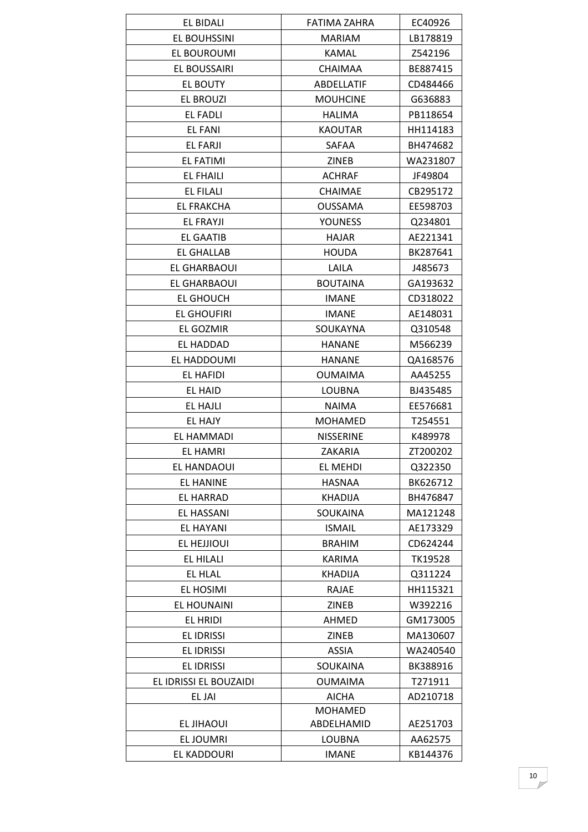| EL BIDALI              | FATIMA ZAHRA     | EC40926  |
|------------------------|------------------|----------|
| EL BOUHSSINI           | <b>MARIAM</b>    | LB178819 |
| EL BOUROUMI            | <b>KAMAL</b>     | Z542196  |
| EL BOUSSAIRI           | <b>CHAIMAA</b>   | BE887415 |
| <b>EL BOUTY</b>        | ABDELLATIF       | CD484466 |
| EL BROUZI              | <b>MOUHCINE</b>  | G636883  |
| EL FADLI               | HALIMA           | PB118654 |
| EL FANI                | <b>KAOUTAR</b>   | HH114183 |
| EL FARJI               | SAFAA            | BH474682 |
| EL FATIMI              | <b>ZINEB</b>     | WA231807 |
| <b>EL FHAILI</b>       | <b>ACHRAF</b>    | JF49804  |
| EL FILALI              | <b>CHAIMAE</b>   | CB295172 |
| <b>EL FRAKCHA</b>      | <b>OUSSAMA</b>   | EE598703 |
| EL FRAYJI              | <b>YOUNESS</b>   | Q234801  |
| <b>EL GAATIB</b>       | <b>HAJAR</b>     | AE221341 |
| <b>EL GHALLAB</b>      | <b>HOUDA</b>     | BK287641 |
| EL GHARBAOUI           | LAILA            | J485673  |
| EL GHARBAOUI           | <b>BOUTAINA</b>  | GA193632 |
| EL GHOUCH              | <b>IMANE</b>     | CD318022 |
| <b>EL GHOUFIRI</b>     | <b>IMANE</b>     | AE148031 |
| EL GOZMIR              | SOUKAYNA         | Q310548  |
| EL HADDAD              | <b>HANANE</b>    | M566239  |
| EL HADDOUMI            | <b>HANANE</b>    | QA168576 |
| EL HAFIDI              | <b>OUMAIMA</b>   | AA45255  |
| EL HAID                | LOUBNA           | BJ435485 |
| <b>EL HAJLI</b>        | <b>NAIMA</b>     | EE576681 |
| <b>EL HAJY</b>         | <b>MOHAMED</b>   | T254551  |
| EL HAMMADI             | <b>NISSERINE</b> | K489978  |
| <b>EL HAMRI</b>        | ZAKARIA          | ZT200202 |
| EL HANDAOUI            | EL MEHDI         | Q322350  |
| <b>EL HANINE</b>       | HASNAA           | BK626712 |
| <b>EL HARRAD</b>       | <b>KHADIJA</b>   | BH476847 |
| EL HASSANI             | <b>SOUKAINA</b>  | MA121248 |
| <b>EL HAYANI</b>       | <b>ISMAIL</b>    | AE173329 |
| EL HEJJIOUI            | <b>BRAHIM</b>    | CD624244 |
| EL HILALI              | <b>KARIMA</b>    | TK19528  |
| <b>EL HLAL</b>         | KHADIJA          | Q311224  |
| EL HOSIMI              | <b>RAJAE</b>     | HH115321 |
| <b>EL HOUNAINI</b>     | <b>ZINEB</b>     | W392216  |
| EL HRIDI               | AHMED            | GM173005 |
| <b>EL IDRISSI</b>      | ZINEB            | MA130607 |
| EL IDRISSI             | <b>ASSIA</b>     | WA240540 |
| <b>EL IDRISSI</b>      | SOUKAINA         | BK388916 |
| EL IDRISSI EL BOUZAIDI | <b>OUMAIMA</b>   | T271911  |
| EL JAI                 | AICHA            | AD210718 |
|                        | <b>MOHAMED</b>   |          |
| EL JIHAOUI             | ABDELHAMID       | AE251703 |
| EL JOUMRI              | LOUBNA           | AA62575  |
| EL KADDOURI            | <b>IMANE</b>     | KB144376 |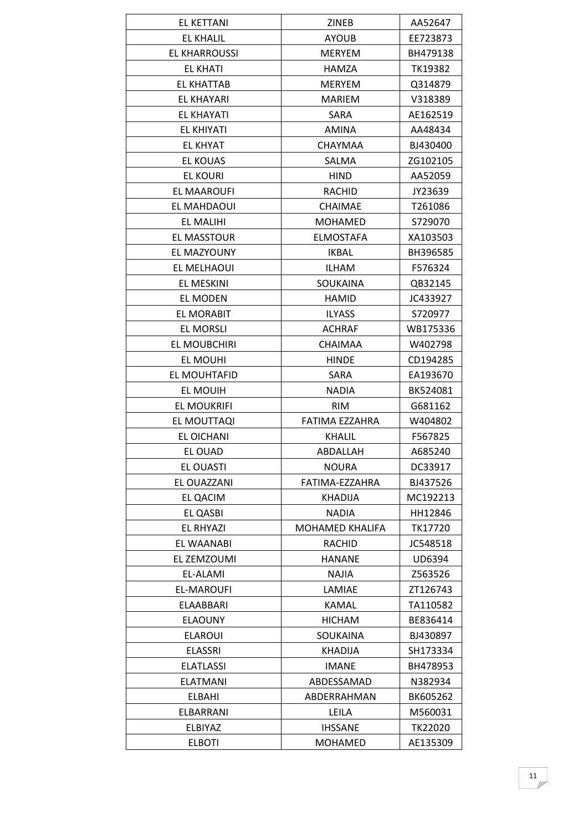| EL KETTANI           | <b>ZINEB</b>           | AA52647        |
|----------------------|------------------------|----------------|
| <b>EL KHALIL</b>     | <b>AYOUB</b>           | EE723873       |
| <b>EL KHARROUSSI</b> | <b>MERYEM</b>          | BH479138       |
| EL KHATI             | <b>HAMZA</b>           | TK19382        |
| <b>EL KHATTAB</b>    | <b>MERYEM</b>          | Q314879        |
| EL KHAYARI           | <b>MARIEM</b>          | V318389        |
| <b>EL KHAYATI</b>    | SARA                   | AE162519       |
| <b>EL KHIYATI</b>    | AMINA                  | AA48434        |
| EL KHYAT             | CHAYMAA                | BJ430400       |
| <b>EL KOUAS</b>      | SALMA                  | ZG102105       |
| EL KOURI             | <b>HIND</b>            | AA52059        |
| EL MAAROUFI          | RACHID                 | JY23639        |
| EL MAHDAOUI          | <b>CHAIMAE</b>         | T261086        |
| EL MALIHI            | <b>MOHAMED</b>         | S729070        |
| <b>EL MASSTOUR</b>   | <b>ELMOSTAFA</b>       | XA103503       |
| EL MAZYOUNY          | <b>IKBAL</b>           | BH396585       |
| EL MELHAOUI          | <b>ILHAM</b>           | F576324        |
| EL MESKINI           | SOUKAINA               | QB32145        |
| EL MODEN             | <b>HAMID</b>           | JC433927       |
| EL MORABIT           | <b>ILYASS</b>          | S720977        |
| EL MORSLI            | <b>ACHRAF</b>          | WB175336       |
| EL MOUBCHIRI         | CHAIMAA                | W402798        |
| EL MOUHI             | <b>HINDE</b>           | CD194285       |
| EL MOUHTAFID         | SARA                   | EA193670       |
| EL MOUIH             | <b>NADIA</b>           | BK524081       |
| <b>EL MOUKRIFI</b>   | <b>RIM</b>             | G681162        |
| EL MOUTTAQI          | FATIMA EZZAHRA         | W404802        |
| EL OICHANI           | <b>KHALIL</b>          | F567825        |
| EL OUAD              | ABDALLAH               | A685240        |
| <b>EL OUASTI</b>     | <b>NOURA</b>           | DC33917        |
| EL OUAZZANI          | FATIMA-EZZAHRA         | BJ437526       |
| <b>EL QACIM</b>      | <b>KHADIJA</b>         | MC192213       |
| EL QASBI             | <b>NADIA</b>           | HH12846        |
| <b>EL RHYAZI</b>     | <b>MOHAMED KHALIFA</b> | TK17720        |
| <b>EL WAANABI</b>    | RACHID                 | JC548518       |
| EL ZEMZOUMI          | <b>HANANE</b>          | UD6394         |
| EL-ALAMI             | NAJIA                  | Z563526        |
| EL-MAROUFI           | LAMIAE                 | ZT126743       |
| <b>ELAABBARI</b>     | <b>KAMAL</b>           | TA110582       |
| <b>ELAOUNY</b>       | <b>HICHAM</b>          | BE836414       |
| <b>ELAROUI</b>       | SOUKAINA               | BJ430897       |
| <b>ELASSRI</b>       | <b>KHADIJA</b>         | SH173334       |
| <b>ELATLASSI</b>     | <b>IMANE</b>           | BH478953       |
| <b>ELATMANI</b>      | ABDESSAMAD             | N382934        |
| <b>ELBAHI</b>        | ABDERRAHMAN            | BK605262       |
| ELBARRANI            | LEILA                  | M560031        |
| ELBIYAZ              | <b>IHSSANE</b>         | <b>TK22020</b> |
| <b>ELBOTI</b>        | <b>MOHAMED</b>         | AE135309       |
|                      |                        |                |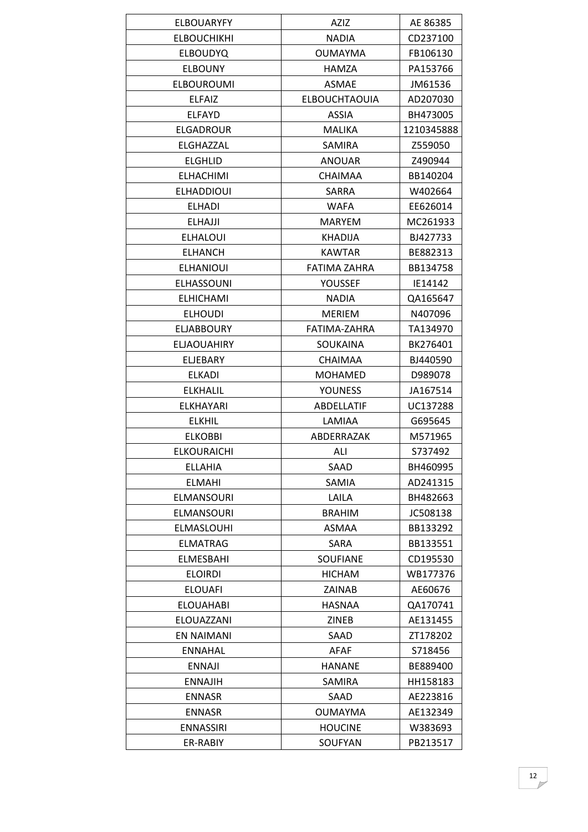| <b>ELBOUARYFY</b>  | <b>AZIZ</b>          | AE 86385   |
|--------------------|----------------------|------------|
| <b>ELBOUCHIKHI</b> | <b>NADIA</b>         | CD237100   |
| <b>ELBOUDYQ</b>    | <b>OUMAYMA</b>       | FB106130   |
| <b>ELBOUNY</b>     | <b>HAMZA</b>         | PA153766   |
| <b>ELBOUROUMI</b>  | <b>ASMAE</b>         | JM61536    |
| <b>ELFAIZ</b>      | <b>ELBOUCHTAOUIA</b> | AD207030   |
| <b>ELFAYD</b>      | ASSIA                | BH473005   |
| <b>ELGADROUR</b>   | <b>MALIKA</b>        | 1210345888 |
| ELGHAZZAL          | SAMIRA               | Z559050    |
| <b>ELGHLID</b>     | <b>ANOUAR</b>        | Z490944    |
| <b>ELHACHIMI</b>   | <b>CHAIMAA</b>       | BB140204   |
| <b>ELHADDIOUI</b>  | SARRA                | W402664    |
| <b>ELHADI</b>      | <b>WAFA</b>          | EE626014   |
| <b>ELHAJJI</b>     | <b>MARYEM</b>        | MC261933   |
| <b>ELHALOUI</b>    | <b>KHADIJA</b>       | BJ427733   |
| <b>ELHANCH</b>     | <b>KAWTAR</b>        | BE882313   |
| <b>ELHANIOUI</b>   | FATIMA ZAHRA         | BB134758   |
| <b>ELHASSOUNI</b>  | YOUSSEF              | IE14142    |
| <b>ELHICHAMI</b>   | <b>NADIA</b>         | QA165647   |
| <b>ELHOUDI</b>     | <b>MERIEM</b>        | N407096    |
| <b>ELJABBOURY</b>  | FATIMA-ZAHRA         | TA134970   |
| <b>ELJAOUAHIRY</b> | SOUKAINA             | BK276401   |
| <b>ELJEBARY</b>    | <b>CHAIMAA</b>       | BJ440590   |
| <b>ELKADI</b>      | <b>MOHAMED</b>       | D989078    |
| <b>ELKHALIL</b>    | <b>YOUNESS</b>       | JA167514   |
| ELKHAYARI          | ABDELLATIF           | UC137288   |
| <b>ELKHIL</b>      | LAMIAA               | G695645    |
| <b>ELKOBBI</b>     | ABDERRAZAK           | M571965    |
| <b>ELKOURAICHI</b> | ALI                  | S737492    |
| <b>ELLAHIA</b>     | SAAD                 | BH460995   |
| <b>ELMAHI</b>      | SAMIA                | AD241315   |
| <b>ELMANSOURI</b>  | LAILA                | BH482663   |
| <b>ELMANSOURI</b>  | <b>BRAHIM</b>        | JC508138   |
| <b>ELMASLOUHI</b>  | ASMAA                | BB133292   |
| <b>ELMATRAG</b>    | SARA                 | BB133551   |
| <b>ELMESBAHI</b>   | <b>SOUFIANE</b>      | CD195530   |
| <b>ELOIRDI</b>     | <b>HICHAM</b>        | WB177376   |
| <b>ELOUAFI</b>     | ZAINAB               | AE60676    |
| <b>ELOUAHABI</b>   | <b>HASNAA</b>        | QA170741   |
| ELOUAZZANI         | <b>ZINEB</b>         | AE131455   |
| EN NAIMANI         | SAAD                 | ZT178202   |
| <b>ENNAHAL</b>     | AFAF                 | S718456    |
| <b>ENNAJI</b>      | <b>HANANE</b>        | BE889400   |
| <b>ENNAJIH</b>     | SAMIRA               | HH158183   |
| <b>ENNASR</b>      | SAAD                 | AE223816   |
| <b>ENNASR</b>      | <b>OUMAYMA</b>       | AE132349   |
| <b>ENNASSIRI</b>   | <b>HOUCINE</b>       | W383693    |
| ER-RABIY           | SOUFYAN              | PB213517   |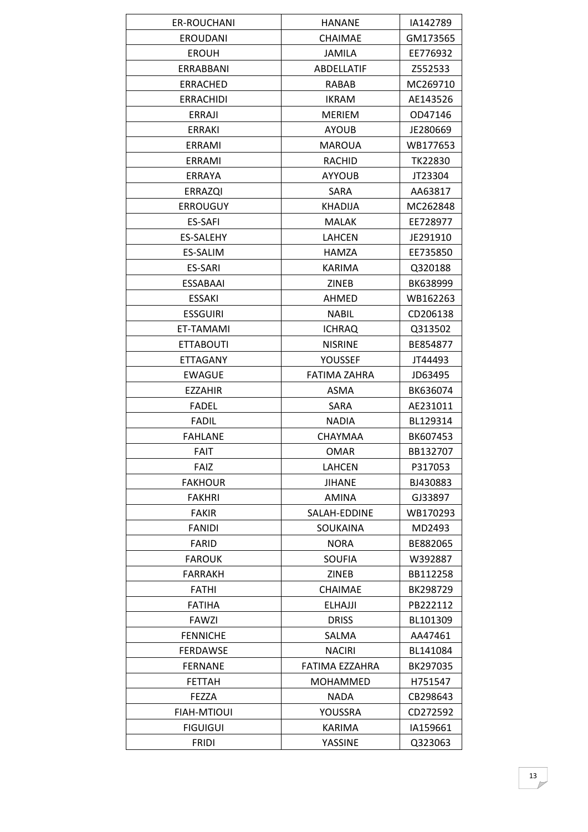| ER-ROUCHANI        | <b>HANANE</b>       | IA142789       |
|--------------------|---------------------|----------------|
| <b>EROUDANI</b>    | <b>CHAIMAE</b>      | GM173565       |
| <b>EROUH</b>       | <b>JAMILA</b>       | EE776932       |
| ERRABBANI          | <b>ABDELLATIF</b>   | Z552533        |
| <b>ERRACHED</b>    | <b>RABAB</b>        | MC269710       |
| <b>ERRACHIDI</b>   | <b>IKRAM</b>        | AE143526       |
| ERRAJI             | MERIEM              | OD47146        |
| ERRAKI             | <b>AYOUB</b>        | JE280669       |
| ERRAMI             | <b>MAROUA</b>       | WB177653       |
| ERRAMI             | RACHID              | <b>TK22830</b> |
| ERRAYA             | <b>AYYOUB</b>       | JT23304        |
| <b>ERRAZQI</b>     | SARA                | AA63817        |
| <b>ERROUGUY</b>    | <b>KHADIJA</b>      | MC262848       |
| <b>ES-SAFI</b>     | <b>MALAK</b>        | EE728977       |
| ES-SALEHY          | LAHCEN              | JE291910       |
| ES-SALIM           | <b>HAMZA</b>        | EE735850       |
| <b>ES-SARI</b>     | <b>KARIMA</b>       | Q320188        |
| <b>ESSABAAI</b>    | ZINEB               | BK638999       |
| ESSAKI             | <b>AHMED</b>        | WB162263       |
| <b>ESSGUIRI</b>    | <b>NABIL</b>        | CD206138       |
| ET-TAMAMI          | <b>ICHRAQ</b>       | Q313502        |
| <b>ETTABOUTI</b>   | <b>NISRINE</b>      | BE854877       |
| <b>ETTAGANY</b>    | YOUSSEF             | JT44493        |
| <b>EWAGUE</b>      | <b>FATIMA ZAHRA</b> | JD63495        |
| <b>EZZAHIR</b>     | ASMA                | BK636074       |
| <b>FADEL</b>       | SARA                | AE231011       |
| <b>FADIL</b>       | <b>NADIA</b>        | BL129314       |
| <b>FAHLANE</b>     | CHAYMAA             | BK607453       |
| <b>FAIT</b>        | <b>OMAR</b>         | BB132707       |
| <b>FAIZ</b>        | LAHCEN              | P317053        |
| <b>FAKHOUR</b>     | <b>JIHANE</b>       | BJ430883       |
| <b>FAKHRI</b>      | AMINA               | GJ33897        |
| <b>FAKIR</b>       | SALAH-EDDINE        | WB170293       |
| <b>FANIDI</b>      | SOUKAINA            | MD2493         |
| <b>FARID</b>       | <b>NORA</b>         | BE882065       |
| <b>FAROUK</b>      | <b>SOUFIA</b>       | W392887        |
| <b>FARRAKH</b>     | <b>ZINEB</b>        | BB112258       |
| FATHI              | <b>CHAIMAE</b>      | BK298729       |
| <b>FATIHA</b>      | <b>ELHAJJI</b>      | PB222112       |
| FAWZI              | <b>DRISS</b>        | BL101309       |
| <b>FENNICHE</b>    | SALMA               | AA47461        |
| FERDAWSE           | <b>NACIRI</b>       | BL141084       |
| <b>FERNANE</b>     | FATIMA EZZAHRA      | BK297035       |
| <b>FETTAH</b>      | MOHAMMED            | H751547        |
| FEZZA              | <b>NADA</b>         | CB298643       |
| <b>FIAH-MTIOUI</b> | YOUSSRA             | CD272592       |
| <b>FIGUIGUI</b>    | KARIMA              | IA159661       |
| <b>FRIDI</b>       | YASSINE             | Q323063        |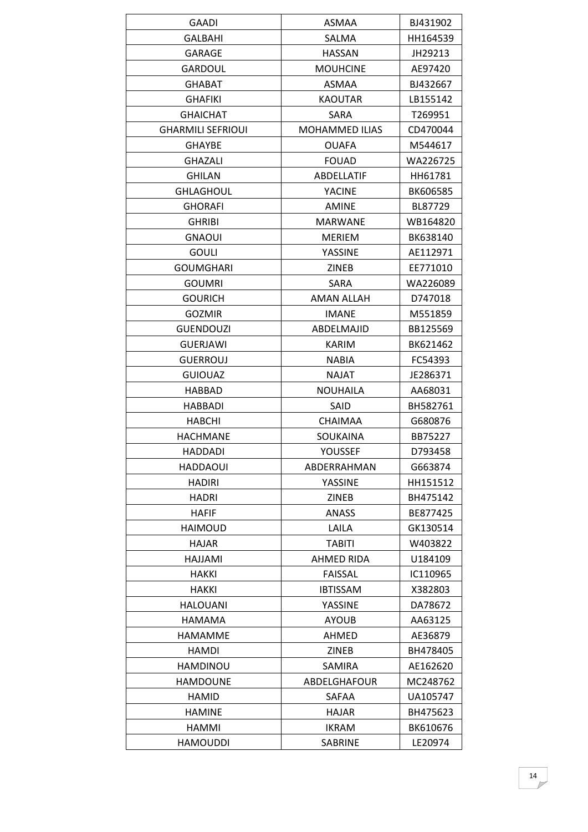| GALBAHI<br>SALMA<br>HH164539<br><b>HASSAN</b><br>JH29213<br><b>GARAGE</b><br><b>GARDOUL</b><br><b>MOUHCINE</b><br>AE97420<br><b>GHABAT</b><br>ASMAA<br>BJ432667<br><b>KAOUTAR</b><br>LB155142<br><b>GHAFIKI</b><br><b>GHAICHAT</b><br><b>SARA</b><br>T269951<br><b>GHARMILI SEFRIOUI</b><br><b>MOHAMMED ILIAS</b><br>CD470044<br><b>GHAYBE</b><br><b>OUAFA</b><br>M544617<br><b>GHAZALI</b><br><b>FOUAD</b><br>WA226725<br><b>GHILAN</b><br>ABDELLATIF<br>HH61781<br><b>GHLAGHOUL</b><br><b>YACINE</b><br>BK606585<br><b>GHORAFI</b><br><b>AMINE</b><br>BL87729<br><b>GHRIBI</b><br><b>MARWANE</b><br>WB164820<br><b>GNAOUI</b><br>BK638140<br><b>MERIEM</b><br><b>GOULI</b><br>YASSINE<br>AE112971<br><b>GOUMGHARI</b><br>ZINEB<br>EE771010<br><b>GOUMRI</b><br><b>SARA</b><br>WA226089 |
|------------------------------------------------------------------------------------------------------------------------------------------------------------------------------------------------------------------------------------------------------------------------------------------------------------------------------------------------------------------------------------------------------------------------------------------------------------------------------------------------------------------------------------------------------------------------------------------------------------------------------------------------------------------------------------------------------------------------------------------------------------------------------------------|
|                                                                                                                                                                                                                                                                                                                                                                                                                                                                                                                                                                                                                                                                                                                                                                                          |
|                                                                                                                                                                                                                                                                                                                                                                                                                                                                                                                                                                                                                                                                                                                                                                                          |
|                                                                                                                                                                                                                                                                                                                                                                                                                                                                                                                                                                                                                                                                                                                                                                                          |
|                                                                                                                                                                                                                                                                                                                                                                                                                                                                                                                                                                                                                                                                                                                                                                                          |
|                                                                                                                                                                                                                                                                                                                                                                                                                                                                                                                                                                                                                                                                                                                                                                                          |
|                                                                                                                                                                                                                                                                                                                                                                                                                                                                                                                                                                                                                                                                                                                                                                                          |
|                                                                                                                                                                                                                                                                                                                                                                                                                                                                                                                                                                                                                                                                                                                                                                                          |
|                                                                                                                                                                                                                                                                                                                                                                                                                                                                                                                                                                                                                                                                                                                                                                                          |
|                                                                                                                                                                                                                                                                                                                                                                                                                                                                                                                                                                                                                                                                                                                                                                                          |
|                                                                                                                                                                                                                                                                                                                                                                                                                                                                                                                                                                                                                                                                                                                                                                                          |
|                                                                                                                                                                                                                                                                                                                                                                                                                                                                                                                                                                                                                                                                                                                                                                                          |
|                                                                                                                                                                                                                                                                                                                                                                                                                                                                                                                                                                                                                                                                                                                                                                                          |
|                                                                                                                                                                                                                                                                                                                                                                                                                                                                                                                                                                                                                                                                                                                                                                                          |
|                                                                                                                                                                                                                                                                                                                                                                                                                                                                                                                                                                                                                                                                                                                                                                                          |
|                                                                                                                                                                                                                                                                                                                                                                                                                                                                                                                                                                                                                                                                                                                                                                                          |
|                                                                                                                                                                                                                                                                                                                                                                                                                                                                                                                                                                                                                                                                                                                                                                                          |
|                                                                                                                                                                                                                                                                                                                                                                                                                                                                                                                                                                                                                                                                                                                                                                                          |
| <b>GOURICH</b><br>AMAN ALLAH<br>D747018                                                                                                                                                                                                                                                                                                                                                                                                                                                                                                                                                                                                                                                                                                                                                  |
| <b>GOZMIR</b><br><b>IMANE</b><br>M551859                                                                                                                                                                                                                                                                                                                                                                                                                                                                                                                                                                                                                                                                                                                                                 |
| <b>GUENDOUZI</b><br>ABDELMAJID<br>BB125569                                                                                                                                                                                                                                                                                                                                                                                                                                                                                                                                                                                                                                                                                                                                               |
| <b>GUERJAWI</b><br><b>KARIM</b><br>BK621462                                                                                                                                                                                                                                                                                                                                                                                                                                                                                                                                                                                                                                                                                                                                              |
| <b>GUERROUJ</b><br><b>NABIA</b><br>FC54393                                                                                                                                                                                                                                                                                                                                                                                                                                                                                                                                                                                                                                                                                                                                               |
| <b>NAJAT</b><br><b>GUIOUAZ</b><br>JE286371                                                                                                                                                                                                                                                                                                                                                                                                                                                                                                                                                                                                                                                                                                                                               |
| <b>NOUHAILA</b><br><b>HABBAD</b><br>AA68031                                                                                                                                                                                                                                                                                                                                                                                                                                                                                                                                                                                                                                                                                                                                              |
| BH582761<br><b>HABBADI</b><br>SAID                                                                                                                                                                                                                                                                                                                                                                                                                                                                                                                                                                                                                                                                                                                                                       |
| <b>HABCHI</b><br><b>CHAIMAA</b><br>G680876                                                                                                                                                                                                                                                                                                                                                                                                                                                                                                                                                                                                                                                                                                                                               |
| <b>HACHMANE</b><br>SOUKAINA<br>BB75227                                                                                                                                                                                                                                                                                                                                                                                                                                                                                                                                                                                                                                                                                                                                                   |
| YOUSSEF<br>D793458<br>HADDADI                                                                                                                                                                                                                                                                                                                                                                                                                                                                                                                                                                                                                                                                                                                                                            |
| G663874<br><b>HADDAOUI</b><br>ABDERRAHMAN                                                                                                                                                                                                                                                                                                                                                                                                                                                                                                                                                                                                                                                                                                                                                |
| HADIRI<br>YASSINE<br>HH151512                                                                                                                                                                                                                                                                                                                                                                                                                                                                                                                                                                                                                                                                                                                                                            |
| <b>HADRI</b><br><b>ZINEB</b><br>BH475142                                                                                                                                                                                                                                                                                                                                                                                                                                                                                                                                                                                                                                                                                                                                                 |
| <b>HAFIF</b><br>ANASS<br>BE877425                                                                                                                                                                                                                                                                                                                                                                                                                                                                                                                                                                                                                                                                                                                                                        |
| LAILA<br><b>HAIMOUD</b><br>GK130514                                                                                                                                                                                                                                                                                                                                                                                                                                                                                                                                                                                                                                                                                                                                                      |
| <b>TABITI</b><br>W403822<br>HAJAR                                                                                                                                                                                                                                                                                                                                                                                                                                                                                                                                                                                                                                                                                                                                                        |
| <b>AHMED RIDA</b><br><b>HAJJAMI</b><br>U184109                                                                                                                                                                                                                                                                                                                                                                                                                                                                                                                                                                                                                                                                                                                                           |
| IC110965<br>HAKKI<br><b>FAISSAL</b>                                                                                                                                                                                                                                                                                                                                                                                                                                                                                                                                                                                                                                                                                                                                                      |
| <b>IBTISSAM</b><br>HAKKI<br>X382803                                                                                                                                                                                                                                                                                                                                                                                                                                                                                                                                                                                                                                                                                                                                                      |
| <b>HALOUANI</b><br>YASSINE<br>DA78672                                                                                                                                                                                                                                                                                                                                                                                                                                                                                                                                                                                                                                                                                                                                                    |
| HAMAMA<br><b>AYOUB</b><br>AA63125                                                                                                                                                                                                                                                                                                                                                                                                                                                                                                                                                                                                                                                                                                                                                        |
| <b>HAMAMME</b><br>AHMED<br>AE36879                                                                                                                                                                                                                                                                                                                                                                                                                                                                                                                                                                                                                                                                                                                                                       |
| <b>ZINEB</b><br>BH478405<br><b>HAMDI</b>                                                                                                                                                                                                                                                                                                                                                                                                                                                                                                                                                                                                                                                                                                                                                 |
| HAMDINOU<br>SAMIRA<br>AE162620                                                                                                                                                                                                                                                                                                                                                                                                                                                                                                                                                                                                                                                                                                                                                           |
| ABDELGHAFOUR<br>MC248762<br><b>HAMDOUNE</b>                                                                                                                                                                                                                                                                                                                                                                                                                                                                                                                                                                                                                                                                                                                                              |
| UA105747<br><b>HAMID</b><br><b>SAFAA</b>                                                                                                                                                                                                                                                                                                                                                                                                                                                                                                                                                                                                                                                                                                                                                 |
| <b>HAMINE</b><br>HAJAR<br>BH475623                                                                                                                                                                                                                                                                                                                                                                                                                                                                                                                                                                                                                                                                                                                                                       |
| HAMMI<br><b>IKRAM</b><br>BK610676                                                                                                                                                                                                                                                                                                                                                                                                                                                                                                                                                                                                                                                                                                                                                        |
| <b>HAMOUDDI</b><br><b>SABRINE</b><br>LE20974                                                                                                                                                                                                                                                                                                                                                                                                                                                                                                                                                                                                                                                                                                                                             |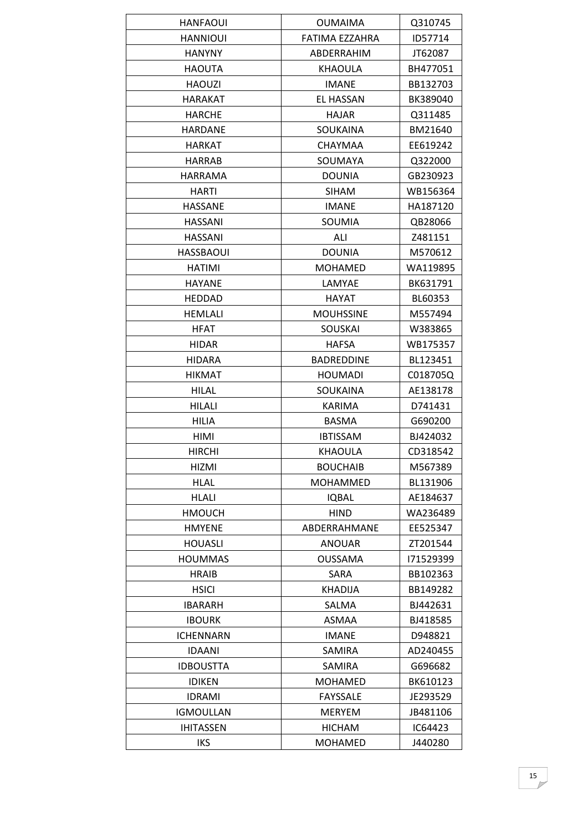| <b>HANFAOUI</b>  | <b>OUMAIMA</b>    | Q310745   |
|------------------|-------------------|-----------|
| <b>HANNIOUI</b>  | FATIMA EZZAHRA    | ID57714   |
| <b>HANYNY</b>    | ABDERRAHIM        | JT62087   |
| HAOUTA           | KHAOULA           | BH477051  |
| <b>HAOUZI</b>    | <b>IMANE</b>      | BB132703  |
| <b>HARAKAT</b>   | <b>EL HASSAN</b>  | BK389040  |
| HARCHE           | <b>HAJAR</b>      | Q311485   |
| <b>HARDANE</b>   | SOUKAINA          | BM21640   |
| <b>HARKAT</b>    | <b>CHAYMAA</b>    | EE619242  |
| <b>HARRAB</b>    | SOUMAYA           | Q322000   |
| <b>HARRAMA</b>   | <b>DOUNIA</b>     | GB230923  |
| HARTI            | <b>SIHAM</b>      | WB156364  |
| <b>HASSANE</b>   | <b>IMANE</b>      | HA187120  |
| <b>HASSANI</b>   | SOUMIA            | QB28066   |
| <b>HASSANI</b>   | ALI               | Z481151   |
| <b>HASSBAOUI</b> | <b>DOUNIA</b>     | M570612   |
| <b>HATIMI</b>    | <b>MOHAMED</b>    | WA119895  |
| <b>HAYANE</b>    | LAMYAE            | BK631791  |
| <b>HEDDAD</b>    | <b>HAYAT</b>      | BL60353   |
| <b>HEMLALI</b>   | <b>MOUHSSINE</b>  | M557494   |
| <b>HFAT</b>      | <b>SOUSKAI</b>    | W383865   |
| <b>HIDAR</b>     | <b>HAFSA</b>      | WB175357  |
| HIDARA           | <b>BADREDDINE</b> | BL123451  |
| <b>HIKMAT</b>    | <b>HOUMADI</b>    | C018705Q  |
| <b>HILAL</b>     | SOUKAINA          | AE138178  |
| <b>HILALI</b>    | KARIMA            | D741431   |
| <b>HILIA</b>     | <b>BASMA</b>      | G690200   |
| HIMI             | <b>IBTISSAM</b>   | BJ424032  |
| <b>HIRCHI</b>    | KHAOULA           | CD318542  |
| HIZMI            | <b>BOUCHAIB</b>   | M567389   |
| <b>HLAL</b>      | <b>MOHAMMED</b>   | BL131906  |
| <b>HLALI</b>     | <b>IQBAL</b>      | AE184637  |
| <b>HMOUCH</b>    | <b>HIND</b>       | WA236489  |
| <b>HMYENE</b>    | ABDERRAHMANE      | EE525347  |
| <b>HOUASLI</b>   | <b>ANOUAR</b>     | ZT201544  |
| <b>HOUMMAS</b>   | <b>OUSSAMA</b>    | 171529399 |
| <b>HRAIB</b>     | SARA              | BB102363  |
| <b>HSICI</b>     | KHADIJA           | BB149282  |
| <b>IBARARH</b>   | SALMA             | BJ442631  |
| <b>IBOURK</b>    | ASMAA             | BJ418585  |
| <b>ICHENNARN</b> | <b>IMANE</b>      | D948821   |
| <b>IDAANI</b>    | <b>SAMIRA</b>     | AD240455  |
| <b>IDBOUSTTA</b> | SAMIRA            | G696682   |
| <b>IDIKEN</b>    | <b>MOHAMED</b>    | BK610123  |
| <b>IDRAMI</b>    | <b>FAYSSALE</b>   | JE293529  |
| <b>IGMOULLAN</b> | <b>MERYEM</b>     | JB481106  |
| <b>IHITASSEN</b> | <b>HICHAM</b>     | IC64423   |
| IKS              | <b>MOHAMED</b>    | J440280   |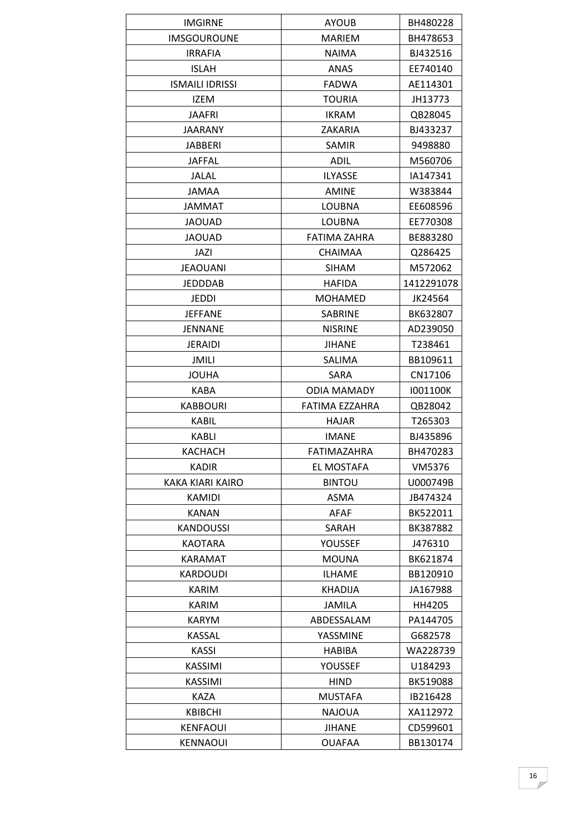| <b>IMGIRNE</b>          | <b>AYOUB</b>        | BH480228   |
|-------------------------|---------------------|------------|
| <b>IMSGOUROUNE</b>      | <b>MARIEM</b>       | BH478653   |
| <b>IRRAFIA</b>          | <b>NAIMA</b>        | BJ432516   |
| <b>ISLAH</b>            | ANAS                | EE740140   |
| <b>ISMAILI IDRISSI</b>  | <b>FADWA</b>        | AE114301   |
| <b>IZEM</b>             | <b>TOURIA</b>       | JH13773    |
| <b>JAAFRI</b>           | <b>IKRAM</b>        | QB28045    |
| <b>JAARANY</b>          | ZAKARIA             | BJ433237   |
| <b>JABBERI</b>          | <b>SAMIR</b>        | 9498880    |
| <b>JAFFAL</b>           | <b>ADIL</b>         | M560706    |
| <b>JALAL</b>            | <b>ILYASSE</b>      | IA147341   |
| <b>JAMAA</b>            | <b>AMINE</b>        | W383844    |
| <b>JAMMAT</b>           | <b>LOUBNA</b>       | EE608596   |
| <b>JAOUAD</b>           | <b>LOUBNA</b>       | EE770308   |
| <b>JAOUAD</b>           | <b>FATIMA ZAHRA</b> | BE883280   |
| JAZI                    | <b>CHAIMAA</b>      | Q286425    |
| <b>JEAOUANI</b>         | <b>SIHAM</b>        | M572062    |
| <b>JEDDDAB</b>          | <b>HAFIDA</b>       | 1412291078 |
| JEDDI                   | <b>MOHAMED</b>      | JK24564    |
| <b>JEFFANE</b>          | SABRINE             | BK632807   |
| JENNANE                 | <b>NISRINE</b>      | AD239050   |
| <b>JERAIDI</b>          | <b>JIHANE</b>       | T238461    |
| JMILI                   | SALIMA              | BB109611   |
| <b>JOUHA</b>            | SARA                | CN17106    |
| KABA                    | <b>ODIA MAMADY</b>  | 1001100K   |
| <b>KABBOURI</b>         | FATIMA EZZAHRA      | QB28042    |
| <b>KABIL</b>            | HAJAR               | T265303    |
| KABLI                   | <b>IMANE</b>        | BJ435896   |
| KACHACH                 | FATIMAZAHRA         | BH470283   |
| <b>KADIR</b>            | EL MOSTAFA          | VM5376     |
| <b>KAKA KIARI KAIRO</b> | <b>BINTOU</b>       | U000749B   |
| <b>KAMIDI</b>           | <b>ASMA</b>         | JB474324   |
| KANAN                   | AFAF                | BK522011   |
| <b>KANDOUSSI</b>        | SARAH               | BK387882   |
| <b>KAOTARA</b>          | YOUSSEF             | J476310    |
| <b>KARAMAT</b>          | <b>MOUNA</b>        | BK621874   |
| <b>KARDOUDI</b>         | <b>ILHAME</b>       | BB120910   |
| KARIM                   | KHADIJA             | JA167988   |
| <b>KARIM</b>            | <b>JAMILA</b>       | HH4205     |
| KARYM                   | ABDESSALAM          | PA144705   |
| <b>KASSAL</b>           | YASSMINE            | G682578    |
| KASSI                   | <b>HABIBA</b>       | WA228739   |
| KASSIMI                 | YOUSSEF             | U184293    |
| KASSIMI                 | <b>HIND</b>         | BK519088   |
| <b>KAZA</b>             | <b>MUSTAFA</b>      | IB216428   |
| <b>KBIBCHI</b>          | <b>NAJOUA</b>       | XA112972   |
| KENFAOUI                | <b>JIHANE</b>       | CD599601   |
|                         |                     |            |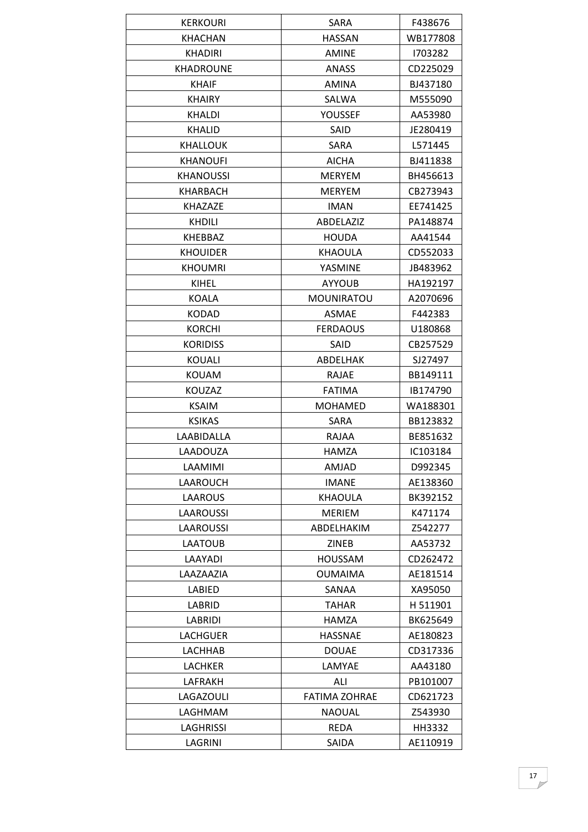| <b>KERKOURI</b>  | SARA                 | F438676  |
|------------------|----------------------|----------|
| <b>KHACHAN</b>   | <b>HASSAN</b>        | WB177808 |
| <b>KHADIRI</b>   | <b>AMINE</b>         | 1703282  |
| <b>KHADROUNE</b> | <b>ANASS</b>         | CD225029 |
| <b>KHAIF</b>     | <b>AMINA</b>         | BJ437180 |
| <b>KHAIRY</b>    | SALWA                | M555090  |
| <b>KHALDI</b>    | YOUSSEF              | AA53980  |
| <b>KHALID</b>    | SAID                 | JE280419 |
| <b>KHALLOUK</b>  | SARA                 | L571445  |
| <b>KHANOUFI</b>  | <b>AICHA</b>         | BJ411838 |
| <b>KHANOUSSI</b> | <b>MERYEM</b>        | BH456613 |
| <b>KHARBACH</b>  | <b>MERYEM</b>        | CB273943 |
| <b>KHAZAZE</b>   | <b>IMAN</b>          | EE741425 |
| <b>KHDILI</b>    | ABDELAZIZ            | PA148874 |
| KHEBBAZ          | <b>HOUDA</b>         | AA41544  |
| <b>KHOUIDER</b>  | <b>KHAOULA</b>       | CD552033 |
| <b>KHOUMRI</b>   | YASMINE              | JB483962 |
| KIHEL            | <b>AYYOUB</b>        | HA192197 |
| <b>KOALA</b>     | MOUNIRATOU           | A2070696 |
| <b>KODAD</b>     | <b>ASMAE</b>         | F442383  |
| <b>KORCHI</b>    | <b>FERDAOUS</b>      | U180868  |
| <b>KORIDISS</b>  | SAID                 | CB257529 |
| <b>KOUALI</b>    | ABDELHAK             | SJ27497  |
| KOUAM            | <b>RAJAE</b>         | BB149111 |
| <b>KOUZAZ</b>    | <b>FATIMA</b>        | IB174790 |
| <b>KSAIM</b>     | <b>MOHAMED</b>       | WA188301 |
| <b>KSIKAS</b>    | SARA                 | BB123832 |
| LAABIDALLA       | RAJAA                | BE851632 |
| LAADOUZA         | <b>HAMZA</b>         | IC103184 |
| LAAMIMI          | AMJAD                | D992345  |
| LAAROUCH         | <b>IMANE</b>         | AE138360 |
| LAAROUS          | <b>KHAOULA</b>       | BK392152 |
| LAAROUSSI        | <b>MERIEM</b>        | K471174  |
| LAAROUSSI        | ABDELHAKIM           | Z542277  |
| LAATOUB          | ZINEB                | AA53732  |
| LAAYADI          | <b>HOUSSAM</b>       | CD262472 |
| LAAZAAZIA        | <b>OUMAIMA</b>       | AE181514 |
| LABIED           | SANAA                | XA95050  |
| LABRID           | <b>TAHAR</b>         | H 511901 |
| LABRIDI          | HAMZA                | BK625649 |
| <b>LACHGUER</b>  | <b>HASSNAE</b>       | AE180823 |
| LACHHAB          | <b>DOUAE</b>         | CD317336 |
| LACHKER          | LAMYAE               | AA43180  |
| LAFRAKH          | ALI                  | PB101007 |
| LAGAZOULI        | <b>FATIMA ZOHRAE</b> | CD621723 |
| LAGHMAM          | <b>NAOUAL</b>        | Z543930  |
| LAGHRISSI        | REDA                 | HH3332   |
| LAGRINI          | SAIDA                | AE110919 |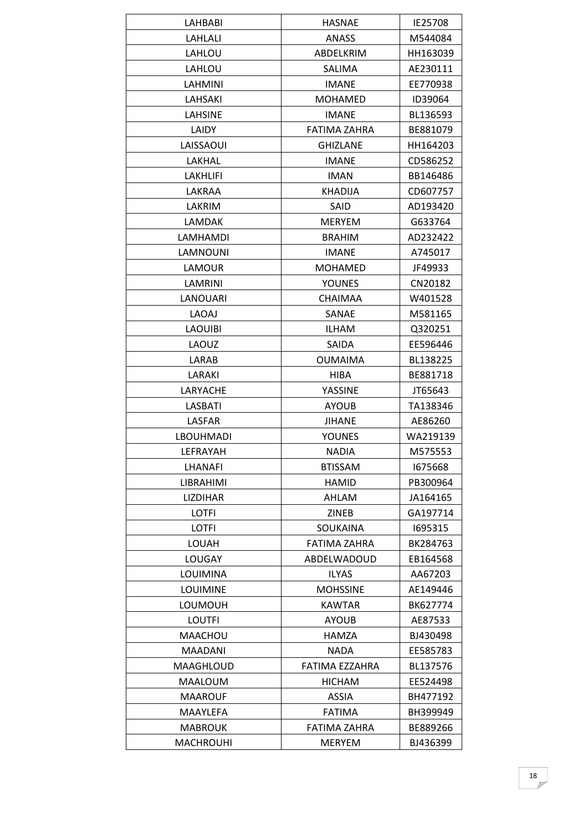| LAHBABI          | <b>HASNAE</b>       | IE25708  |
|------------------|---------------------|----------|
| LAHLALI          | <b>ANASS</b>        | M544084  |
| LAHLOU           | ABDELKRIM           | HH163039 |
| LAHLOU           | SALIMA              | AE230111 |
| LAHMINI          | <b>IMANE</b>        | EE770938 |
| <b>LAHSAKI</b>   | <b>MOHAMED</b>      | ID39064  |
| <b>LAHSINE</b>   | <b>IMANE</b>        | BL136593 |
| LAIDY            | <b>FATIMA ZAHRA</b> | BE881079 |
| LAISSAOUI        | <b>GHIZLANE</b>     | HH164203 |
| LAKHAL           | <b>IMANE</b>        | CD586252 |
| <b>LAKHLIFI</b>  | <b>IMAN</b>         | BB146486 |
| LAKRAA           | <b>KHADIJA</b>      | CD607757 |
| LAKRIM           | SAID                | AD193420 |
| LAMDAK           | <b>MERYEM</b>       | G633764  |
| LAMHAMDI         | <b>BRAHIM</b>       | AD232422 |
| LAMNOUNI         | <b>IMANE</b>        | A745017  |
| LAMOUR           | <b>MOHAMED</b>      | JF49933  |
| LAMRINI          | <b>YOUNES</b>       | CN20182  |
| <b>LANOUARI</b>  | <b>CHAIMAA</b>      | W401528  |
| LAOAJ            | SANAE               | M581165  |
| <b>LAOUIBI</b>   | <b>ILHAM</b>        | Q320251  |
| LAOUZ            | <b>SAIDA</b>        | EE596446 |
| LARAB            | <b>OUMAIMA</b>      | BL138225 |
| LARAKI           | HIBA                | BE881718 |
| LARYACHE         | YASSINE             | JT65643  |
| <b>LASBATI</b>   | <b>AYOUB</b>        | TA138346 |
| LASFAR           | <b>JIHANE</b>       | AE86260  |
| <b>LBOUHMADI</b> | YOUNES              | WA219139 |
| LEFRAYAH         | <b>NADIA</b>        | M575553  |
| LHANAFI          | <b>BTISSAM</b>      | 1675668  |
| LIBRAHIMI        | <b>HAMID</b>        | PB300964 |
| <b>LIZDIHAR</b>  | AHLAM               | JA164165 |
| LOTFI            | <b>ZINEB</b>        | GA197714 |
| LOTFI            | <b>SOUKAINA</b>     | 1695315  |
| LOUAH            | FATIMA ZAHRA        | BK284763 |
| <b>LOUGAY</b>    | ABDELWADOUD         | EB164568 |
| LOUIMINA         | <b>ILYAS</b>        | AA67203  |
| <b>LOUIMINE</b>  | <b>MOHSSINE</b>     | AE149446 |
| LOUMOUH          | <b>KAWTAR</b>       | BK627774 |
| <b>LOUTFI</b>    | <b>AYOUB</b>        | AE87533  |
| MAACHOU          | HAMZA               | BJ430498 |
| <b>MAADANI</b>   | <b>NADA</b>         | EE585783 |
| MAAGHLOUD        | FATIMA EZZAHRA      | BL137576 |
| MAALOUM          | <b>HICHAM</b>       | EE524498 |
| <b>MAAROUF</b>   | ASSIA               | BH477192 |
| MAAYLEFA         | <b>FATIMA</b>       | BH399949 |
| <b>MABROUK</b>   | FATIMA ZAHRA        | BE889266 |
| <b>MACHROUHI</b> | <b>MERYEM</b>       | BJ436399 |
|                  |                     |          |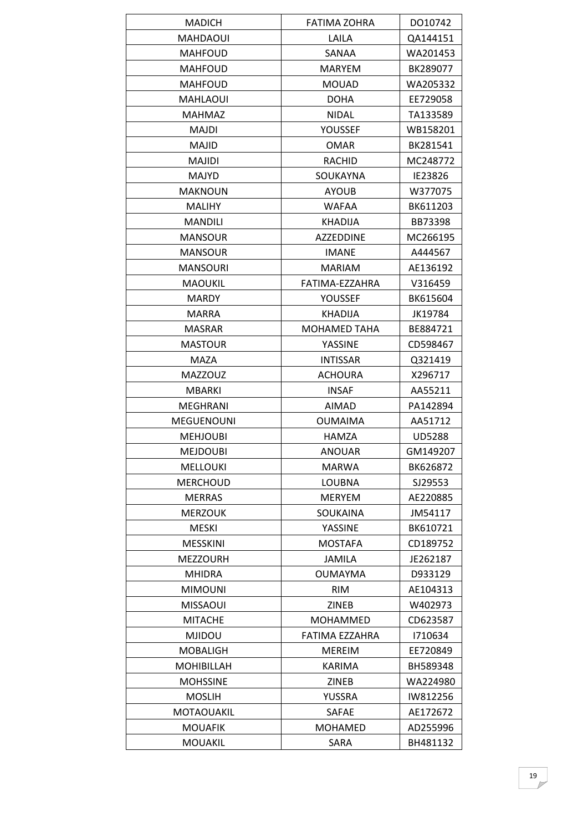| <b>MADICH</b>                    | FATIMA ZOHRA                   | DO10742              |
|----------------------------------|--------------------------------|----------------------|
| <b>MAHDAOUI</b>                  | LAILA                          | QA144151             |
| <b>MAHFOUD</b>                   | SANAA                          | WA201453             |
| <b>MAHFOUD</b>                   | <b>MARYEM</b>                  | BK289077             |
| <b>MAHFOUD</b>                   | <b>MOUAD</b>                   | WA205332             |
| <b>MAHLAOUI</b>                  | <b>DOHA</b>                    | EE729058             |
| MAHMAZ                           | <b>NIDAL</b>                   | TA133589             |
| <b>MAJDI</b>                     | YOUSSEF                        | WB158201             |
| <b>MAJID</b>                     | <b>OMAR</b>                    | BK281541             |
| <b>MAJIDI</b>                    | <b>RACHID</b>                  | MC248772             |
| <b>MAJYD</b>                     | SOUKAYNA                       | IE23826              |
| <b>MAKNOUN</b>                   | <b>AYOUB</b>                   | W377075              |
| <b>MALIHY</b>                    | <b>WAFAA</b>                   | BK611203             |
| <b>MANDILI</b>                   | <b>KHADIJA</b>                 | BB73398              |
| <b>MANSOUR</b>                   | <b>AZZEDDINE</b>               | MC266195             |
| <b>MANSOUR</b>                   | <b>IMANE</b>                   | A444567              |
| <b>MANSOURI</b>                  | <b>MARIAM</b>                  | AE136192             |
| <b>MAOUKIL</b>                   | FATIMA-EZZAHRA                 | V316459              |
| <b>MARDY</b>                     | YOUSSEF                        | BK615604             |
| <b>MARRA</b>                     | <b>KHADIJA</b>                 | JK19784              |
| <b>MASRAR</b>                    | <b>MOHAMED TAHA</b>            | BE884721             |
| <b>MASTOUR</b>                   | YASSINE                        | CD598467             |
| MAZA                             | <b>INTISSAR</b>                | Q321419              |
| <b>MAZZOUZ</b>                   | <b>ACHOURA</b>                 | X296717              |
| <b>MBARKI</b>                    | <b>INSAF</b>                   | AA55211              |
| <b>MEGHRANI</b>                  | <b>AIMAD</b>                   | PA142894             |
| <b>MEGUENOUNI</b>                | <b>OUMAIMA</b>                 | AA51712              |
| <b>MEHJOUBI</b>                  | HAMZA                          | <b>UD5288</b>        |
| <b>MEJDOUBI</b>                  | <b>ANOUAR</b>                  | GM149207             |
| <b>MELLOUKI</b>                  | <b>MARWA</b>                   | BK626872             |
| <b>MERCHOUD</b>                  | LOUBNA                         | SJ29553              |
| <b>MERRAS</b>                    | <b>MERYEM</b>                  | AE220885             |
| <b>MERZOUK</b>                   | SOUKAINA                       | JM54117              |
| <b>MESKI</b>                     | YASSINE                        | BK610721             |
| <b>MESSKINI</b>                  | <b>MOSTAFA</b>                 | CD189752             |
| <b>MEZZOURH</b>                  | JAMILA                         | JE262187             |
| <b>MHIDRA</b>                    | <b>OUMAYMA</b>                 | D933129              |
| <b>MIMOUNI</b>                   | <b>RIM</b>                     | AE104313             |
| <b>MISSAOUI</b>                  | <b>ZINEB</b>                   | W402973              |
| <b>MITACHE</b>                   | <b>MOHAMMED</b>                | CD623587             |
|                                  | FATIMA EZZAHRA                 |                      |
| <b>MJIDOU</b><br><b>MOBALIGH</b> |                                | 1710634              |
| <b>MOHIBILLAH</b>                | <b>MEREIM</b><br><b>KARIMA</b> | EE720849<br>BH589348 |
|                                  |                                |                      |
| <b>MOHSSINE</b>                  | ZINEB                          | WA224980             |
| <b>MOSLIH</b>                    | YUSSRA                         | IW812256             |
| <b>MOTAOUAKIL</b>                | SAFAE                          | AE172672             |
| <b>MOUAFIK</b>                   | <b>MOHAMED</b>                 | AD255996             |
| <b>MOUAKIL</b>                   | SARA                           | BH481132             |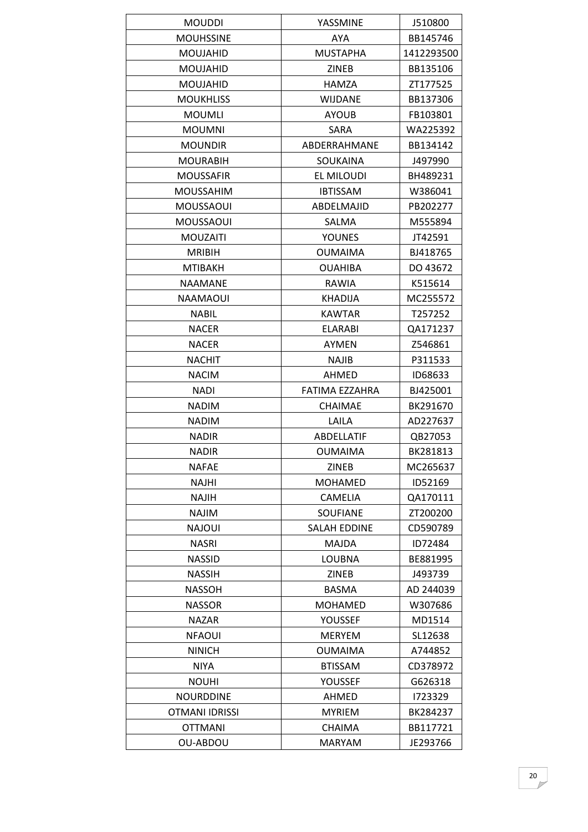| <b>MOUDDI</b>    | YASSMINE            | J510800    |
|------------------|---------------------|------------|
| <b>MOUHSSINE</b> | AYA                 | BB145746   |
| <b>MOUJAHID</b>  | <b>MUSTAPHA</b>     | 1412293500 |
| <b>MOUJAHID</b>  | <b>ZINEB</b>        | BB135106   |
| <b>MOUJAHID</b>  | <b>HAMZA</b>        | ZT177525   |
| <b>MOUKHLISS</b> | <b>WIJDANE</b>      | BB137306   |
| <b>MOUMLI</b>    | <b>AYOUB</b>        | FB103801   |
| <b>MOUMNI</b>    | SARA                | WA225392   |
| <b>MOUNDIR</b>   | ABDERRAHMANE        | BB134142   |
| <b>MOURABIH</b>  | SOUKAINA            | J497990    |
| <b>MOUSSAFIR</b> | EL MILOUDI          | BH489231   |
| <b>MOUSSAHIM</b> | <b>IBTISSAM</b>     | W386041    |
| <b>MOUSSAOUI</b> | ABDELMAJID          | PB202277   |
| MOUSSAOUI        | SALMA               | M555894    |
| <b>MOUZAITI</b>  | <b>YOUNES</b>       | JT42591    |
| <b>MRIBIH</b>    | <b>OUMAIMA</b>      | BJ418765   |
| <b>MTIBAKH</b>   | <b>OUAHIBA</b>      | DO 43672   |
| <b>NAAMANE</b>   | RAWIA               | K515614    |
| NAAMAOUI         | <b>KHADIJA</b>      | MC255572   |
| <b>NABIL</b>     | <b>KAWTAR</b>       | T257252    |
| <b>NACER</b>     | <b>ELARABI</b>      | QA171237   |
| <b>NACER</b>     | AYMEN               | Z546861    |
| <b>NACHIT</b>    | <b>NAJIB</b>        | P311533    |
| <b>NACIM</b>     | AHMED               | ID68633    |
| <b>NADI</b>      | FATIMA EZZAHRA      | BJ425001   |
| <b>NADIM</b>     | <b>CHAIMAE</b>      | BK291670   |
| <b>NADIM</b>     | LAILA               | AD227637   |
| <b>NADIR</b>     | ABDELLATIF          | QB27053    |
| <b>NADIR</b>     | <b>OUMAIMA</b>      | BK281813   |
| <b>NAFAE</b>     | ZINEB               | MC265637   |
| NAJHI            | <b>MOHAMED</b>      | ID52169    |
| <b>NAJIH</b>     | <b>CAMELIA</b>      | QA170111   |
| NAJIM            | <b>SOUFIANE</b>     | ZT200200   |
| NAJOUI           | <b>SALAH EDDINE</b> | CD590789   |
| <b>NASRI</b>     | <b>MAJDA</b>        | ID72484    |
| <b>NASSID</b>    | LOUBNA              | BE881995   |
| <b>NASSIH</b>    | ZINEB               | J493739    |
| <b>NASSOH</b>    | <b>BASMA</b>        | AD 244039  |
| <b>NASSOR</b>    | <b>MOHAMED</b>      | W307686    |
| <b>NAZAR</b>     | YOUSSEF             | MD1514     |
| <b>NFAOUI</b>    | <b>MERYEM</b>       | SL12638    |
| <b>NINICH</b>    | <b>OUMAIMA</b>      | A744852    |
| NIYA             | <b>BTISSAM</b>      | CD378972   |
| <b>NOUHI</b>     | YOUSSEF             | G626318    |
| <b>NOURDDINE</b> | AHMED               | 1723329    |
| OTMANI IDRISSI   | <b>MYRIEM</b>       | BK284237   |
| <b>OTTMANI</b>   | <b>CHAIMA</b>       | BB117721   |
| OU-ABDOU         | MARYAM              | JE293766   |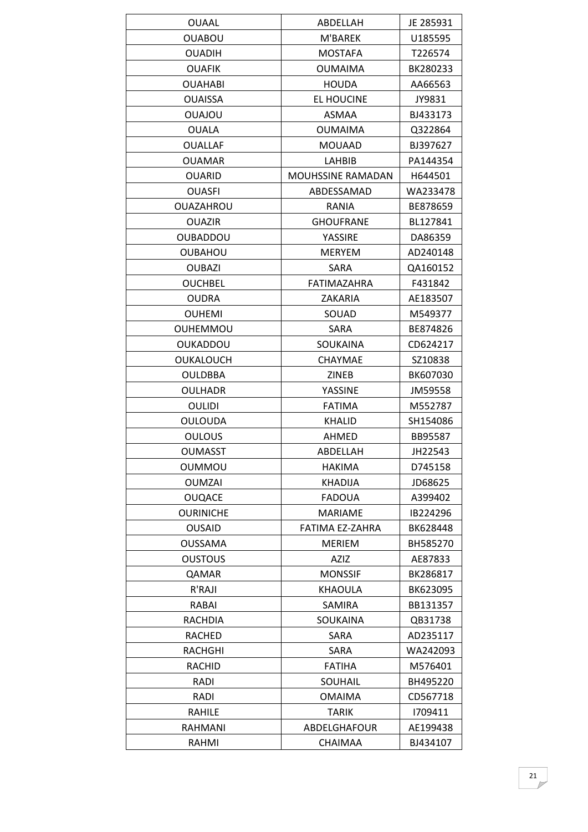| <b>OUAAL</b>     | ABDELLAH                 | JE 285931 |
|------------------|--------------------------|-----------|
| <b>OUABOU</b>    | M'BAREK                  | U185595   |
| <b>OUADIH</b>    | <b>MOSTAFA</b>           | T226574   |
| <b>OUAFIK</b>    | <b>OUMAIMA</b>           | BK280233  |
| <b>OUAHABI</b>   | <b>HOUDA</b>             | AA66563   |
| <b>OUAISSA</b>   | <b>EL HOUCINE</b>        | JY9831    |
| <b>UOLAUO</b>    | <b>ASMAA</b>             | BJ433173  |
| <b>OUALA</b>     | <b>OUMAIMA</b>           | Q322864   |
| <b>OUALLAF</b>   | <b>MOUAAD</b>            | BJ397627  |
| <b>OUAMAR</b>    | LAHBIB                   | PA144354  |
| <b>OUARID</b>    | <b>MOUHSSINE RAMADAN</b> | H644501   |
| <b>OUASFI</b>    | ABDESSAMAD               | WA233478  |
| <b>OUAZAHROU</b> | RANIA                    | BE878659  |
| <b>OUAZIR</b>    | <b>GHOUFRANE</b>         | BL127841  |
| <b>OUBADDOU</b>  | YASSIRE                  | DA86359   |
| <b>OUBAHOU</b>   | <b>MERYEM</b>            | AD240148  |
| <b>OUBAZI</b>    | <b>SARA</b>              | QA160152  |
| <b>OUCHBEL</b>   | FATIMAZAHRA              | F431842   |
| <b>OUDRA</b>     | ZAKARIA                  | AE183507  |
| <b>OUHEMI</b>    | SOUAD                    | M549377   |
| <b>OUHEMMOU</b>  | SARA                     | BE874826  |
| <b>OUKADDOU</b>  | SOUKAINA                 | CD624217  |
| OUKALOUCH        | <b>CHAYMAE</b>           | SZ10838   |
| <b>OULDBBA</b>   | ZINEB                    | BK607030  |
| <b>OULHADR</b>   | YASSINE                  | JM59558   |
| OULIDI           | <b>FATIMA</b>            | M552787   |
| <b>OULOUDA</b>   | <b>KHALID</b>            | SH154086  |
| <b>OULOUS</b>    | AHMED                    | BB95587   |
| <b>OUMASST</b>   | ABDELLAH                 | JH22543   |
| <b>OUMMOU</b>    | <b>HAKIMA</b>            | D745158   |
| <b>OUMZAI</b>    | <b>KHADIJA</b>           | JD68625   |
| <b>OUQACE</b>    | <b>FADOUA</b>            | A399402   |
| <b>OURINICHE</b> | <b>MARIAME</b>           | IB224296  |
| <b>OUSAID</b>    | <b>FATIMA EZ-ZAHRA</b>   | BK628448  |
| <b>OUSSAMA</b>   | <b>MERIEM</b>            | BH585270  |
| <b>OUSTOUS</b>   | AZIZ                     | AE87833   |
| QAMAR            | <b>MONSSIF</b>           | BK286817  |
| R'RAJI           | KHAOULA                  | BK623095  |
| RABAI            | SAMIRA                   | BB131357  |
| <b>RACHDIA</b>   | <b>SOUKAINA</b>          | QB31738   |
| RACHED           | SARA                     | AD235117  |
| RACHGHI          | SARA                     | WA242093  |
| <b>RACHID</b>    | <b>FATIHA</b>            | M576401   |
| <b>RADI</b>      | SOUHAIL                  | BH495220  |
| RADI             | <b>OMAIMA</b>            | CD567718  |
| RAHILE           | <b>TARIK</b>             | 1709411   |
| RAHMANI          | ABDELGHAFOUR             | AE199438  |
| RAHMI            | CHAIMAA                  | BJ434107  |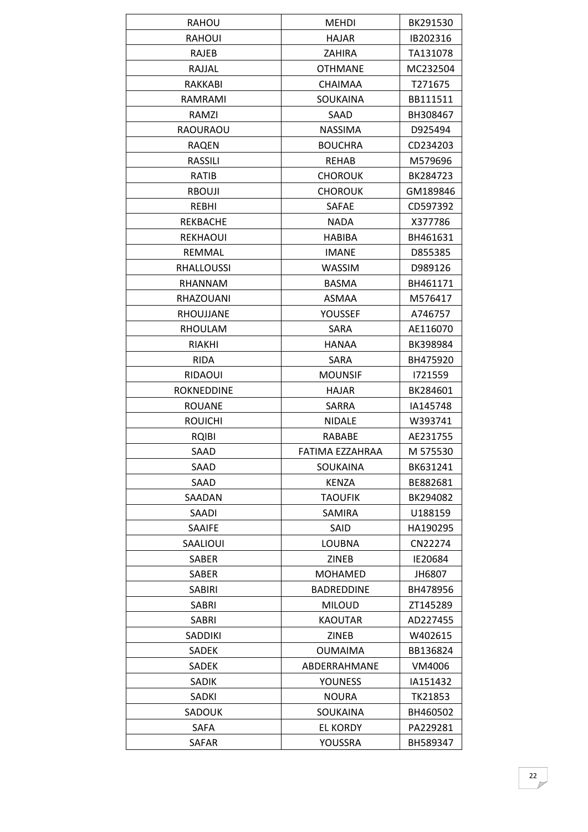| <b>RAHOU</b>      | <b>MEHDI</b>      | BK291530 |
|-------------------|-------------------|----------|
| <b>RAHOUI</b>     | <b>HAJAR</b>      | IB202316 |
| RAJEB             | <b>ZAHIRA</b>     | TA131078 |
| RAJJAL            | <b>OTHMANE</b>    | MC232504 |
| <b>RAKKABI</b>    | <b>CHAIMAA</b>    | T271675  |
| RAMRAMI           | <b>SOUKAINA</b>   | BB111511 |
| RAMZI             | SAAD              | BH308467 |
| <b>RAOURAOU</b>   | <b>NASSIMA</b>    | D925494  |
| <b>RAQEN</b>      | <b>BOUCHRA</b>    | CD234203 |
| RASSILI           | REHAB             | M579696  |
| RATIB             | <b>CHOROUK</b>    | BK284723 |
| <b>RBOUJI</b>     | <b>CHOROUK</b>    | GM189846 |
| REBHI             | <b>SAFAE</b>      | CD597392 |
| REKBACHE          | <b>NADA</b>       | X377786  |
| <b>REKHAOUI</b>   | <b>HABIBA</b>     | BH461631 |
| REMMAL            | <b>IMANE</b>      | D855385  |
| <b>RHALLOUSSI</b> | WASSIM            | D989126  |
| RHANNAM           | <b>BASMA</b>      | BH461171 |
| RHAZOUANI         | ASMAA             | M576417  |
| RHOUJJANE         | YOUSSEF           | A746757  |
| RHOULAM           | <b>SARA</b>       | AE116070 |
| RIAKHI            | HANAA             | BK398984 |
| <b>RIDA</b>       | <b>SARA</b>       | BH475920 |
| <b>RIDAOUI</b>    | <b>MOUNSIF</b>    | 1721559  |
| ROKNEDDINE        | HAJAR             | BK284601 |
| <b>ROUANE</b>     | SARRA             | IA145748 |
| <b>ROUICHI</b>    | <b>NIDALE</b>     | W393741  |
| <b>RQIBI</b>      | RABABE            | AE231755 |
| SAAD              | FATIMA EZZAHRAA   | M 575530 |
| SAAD              | SOUKAINA          | BK631241 |
| SAAD              | <b>KENZA</b>      | BE882681 |
| SAADAN            | <b>TAOUFIK</b>    | BK294082 |
| <b>SAADI</b>      | SAMIRA            | U188159  |
| SAAIFE            | SAID              | HA190295 |
| SAALIOUI          | LOUBNA            | CN22274  |
| SABER             | <b>ZINEB</b>      | IE20684  |
| SABER             | <b>MOHAMED</b>    | JH6807   |
| <b>SABIRI</b>     | <b>BADREDDINE</b> | BH478956 |
| <b>SABRI</b>      | <b>MILOUD</b>     | ZT145289 |
| SABRI             | <b>KAOUTAR</b>    | AD227455 |
| <b>SADDIKI</b>    | ZINEB             | W402615  |
| <b>SADEK</b>      | <b>OUMAIMA</b>    | BB136824 |
| SADEK             | ABDERRAHMANE      | VM4006   |
| <b>SADIK</b>      | <b>YOUNESS</b>    | IA151432 |
| SADKI             | <b>NOURA</b>      | TK21853  |
| SADOUK            | SOUKAINA          | BH460502 |
| <b>SAFA</b>       | <b>EL KORDY</b>   | PA229281 |
| SAFAR             | YOUSSRA           | BH589347 |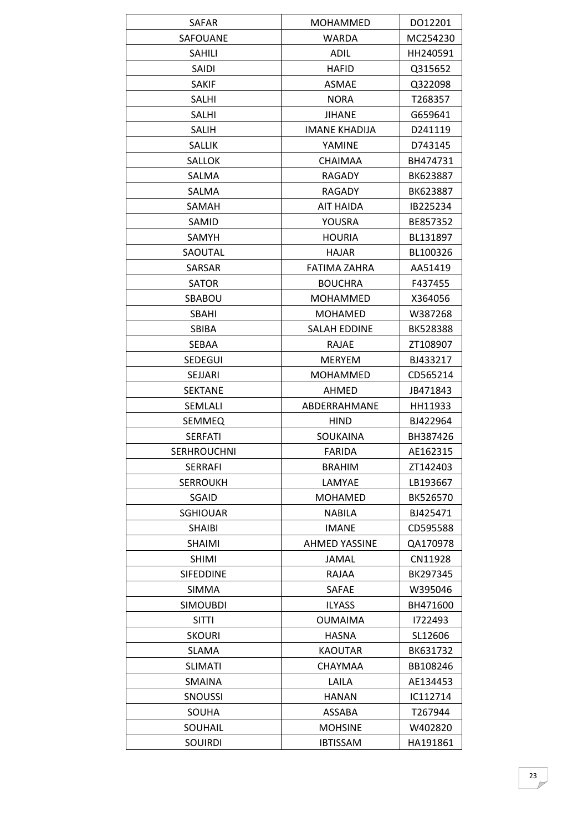| SAFAR              | <b>MOHAMMED</b>      | DO12201  |
|--------------------|----------------------|----------|
| <b>SAFOUANE</b>    | <b>WARDA</b>         | MC254230 |
| <b>SAHILI</b>      | <b>ADIL</b>          | HH240591 |
| <b>SAIDI</b>       | <b>HAFID</b>         | Q315652  |
| <b>SAKIF</b>       | <b>ASMAE</b>         | Q322098  |
| <b>SALHI</b>       | <b>NORA</b>          | T268357  |
| SALHI              | JIHANE               | G659641  |
| <b>SALIH</b>       | <b>IMANE KHADIJA</b> | D241119  |
| SALLIK             | YAMINE               | D743145  |
| <b>SALLOK</b>      | <b>CHAIMAA</b>       | BH474731 |
| SALMA              | RAGADY               | BK623887 |
| SALMA              | RAGADY               | BK623887 |
| SAMAH              | AIT HAIDA            | IB225234 |
| SAMID              | YOUSRA               | BE857352 |
| SAMYH              | <b>HOURIA</b>        | BL131897 |
| SAOUTAL            | <b>HAJAR</b>         | BL100326 |
| SARSAR             | <b>FATIMA ZAHRA</b>  | AA51419  |
| <b>SATOR</b>       | <b>BOUCHRA</b>       | F437455  |
| SBABOU             | <b>MOHAMMED</b>      | X364056  |
| SBAHI              | <b>MOHAMED</b>       | W387268  |
| <b>SBIBA</b>       | <b>SALAH EDDINE</b>  | BK528388 |
| SEBAA              | <b>RAJAE</b>         | ZT108907 |
| <b>SEDEGUI</b>     | <b>MERYEM</b>        | BJ433217 |
| SEJJARI            | <b>MOHAMMED</b>      | CD565214 |
| <b>SEKTANE</b>     | AHMED                | JB471843 |
| SEMLALI            | ABDERRAHMANE         | HH11933  |
| <b>SEMMEQ</b>      | <b>HIND</b>          | BJ422964 |
| <b>SERFATI</b>     | <b>SOUKAINA</b>      | BH387426 |
| <b>SERHROUCHNI</b> | <b>FARIDA</b>        | AE162315 |
| <b>SERRAFI</b>     | <b>BRAHIM</b>        | ZT142403 |
| <b>SERROUKH</b>    | LAMYAE               | LB193667 |
| SGAID              | <b>MOHAMED</b>       | BK526570 |
| <b>SGHIOUAR</b>    | <b>NABILA</b>        | BJ425471 |
| <b>SHAIBI</b>      | <b>IMANE</b>         | CD595588 |
| <b>SHAIMI</b>      | <b>AHMED YASSINE</b> | QA170978 |
| <b>SHIMI</b>       | JAMAL                | CN11928  |
| <b>SIFEDDINE</b>   | RAJAA                | BK297345 |
| SIMMA              | SAFAE                | W395046  |
| <b>SIMOUBDI</b>    | <b>ILYASS</b>        | BH471600 |
| <b>SITTI</b>       | <b>OUMAIMA</b>       | 1722493  |
| <b>SKOURI</b>      | <b>HASNA</b>         | SL12606  |
| <b>SLAMA</b>       | <b>KAOUTAR</b>       | BK631732 |
| <b>SLIMATI</b>     | CHAYMAA              | BB108246 |
| SMAINA             | LAILA                | AE134453 |
| <b>SNOUSSI</b>     | HANAN                | IC112714 |
| SOUHA              | ASSABA               | T267944  |
| SOUHAIL            | <b>MOHSINE</b>       | W402820  |
| <b>SOUIRDI</b>     | <b>IBTISSAM</b>      | HA191861 |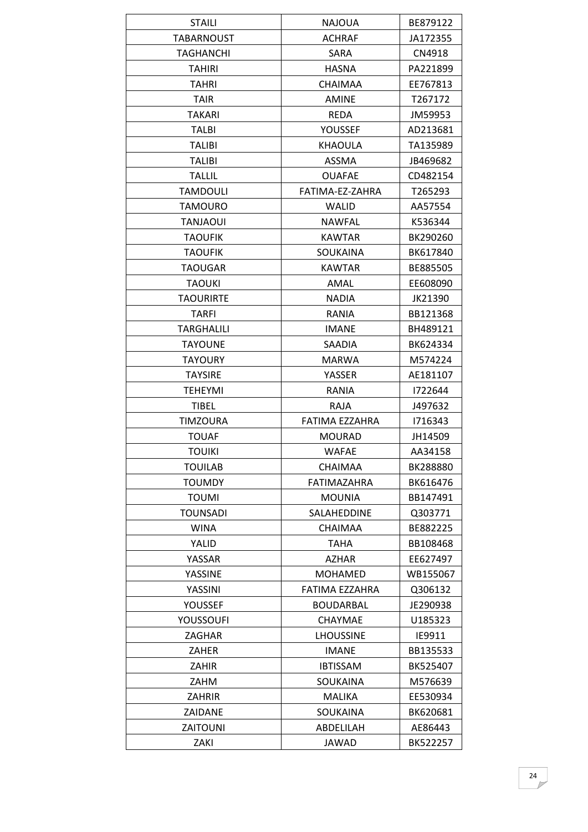| <b>STAILI</b>     | <b>NAJOUA</b>    | BE879122 |
|-------------------|------------------|----------|
| <b>TABARNOUST</b> | <b>ACHRAF</b>    | JA172355 |
| <b>TAGHANCHI</b>  | SARA             | CN4918   |
| <b>TAHIRI</b>     | <b>HASNA</b>     | PA221899 |
| <b>TAHRI</b>      | <b>CHAIMAA</b>   | EE767813 |
| <b>TAIR</b>       | AMINE            | T267172  |
| <b>TAKARI</b>     | <b>REDA</b>      | JM59953  |
| <b>TALBI</b>      | YOUSSEF          | AD213681 |
| <b>TALIBI</b>     | KHAOULA          | TA135989 |
| <b>TALIBI</b>     | <b>ASSMA</b>     | JB469682 |
| <b>TALLIL</b>     | <b>OUAFAE</b>    | CD482154 |
| TAMDOULI          | FATIMA-EZ-ZAHRA  | T265293  |
| <b>TAMOURO</b>    | <b>WALID</b>     | AA57554  |
| <b>TANJAOUI</b>   | <b>NAWFAL</b>    | K536344  |
| <b>TAOUFIK</b>    | <b>KAWTAR</b>    | BK290260 |
| <b>TAOUFIK</b>    | <b>SOUKAINA</b>  | BK617840 |
| <b>TAOUGAR</b>    | <b>KAWTAR</b>    | BE885505 |
| <b>TAOUKI</b>     | AMAL             | EE608090 |
| TAOURIRTE         | <b>NADIA</b>     | JK21390  |
| <b>TARFI</b>      | RANIA            | BB121368 |
| TARGHALILI        | <b>IMANE</b>     | BH489121 |
| <b>TAYOUNE</b>    | <b>SAADIA</b>    | BK624334 |
| <b>TAYOURY</b>    | <b>MARWA</b>     | M574224  |
| <b>TAYSIRE</b>    | YASSER           | AE181107 |
| <b>TEHEYMI</b>    | RANIA            | 1722644  |
| TIBEL             | RAJA             | J497632  |
| <b>TIMZOURA</b>   | FATIMA EZZAHRA   | 1716343  |
| <b>TOUAF</b>      | <b>MOURAD</b>    | JH14509  |
| <b>TOUIKI</b>     | <b>WAFAE</b>     | AA34158  |
| <b>TOUILAB</b>    | <b>CHAIMAA</b>   | BK288880 |
| TOUMDY            | FATIMAZAHRA      | BK616476 |
| <b>TOUMI</b>      | <b>MOUNIA</b>    | BB147491 |
| <b>TOUNSADI</b>   | SALAHEDDINE      | Q303771  |
| <b>WINA</b>       | <b>CHAIMAA</b>   | BE882225 |
| YALID             | TAHA             | BB108468 |
| YASSAR            | <b>AZHAR</b>     | EE627497 |
| YASSINE           | <b>MOHAMED</b>   | WB155067 |
| YASSINI           | FATIMA EZZAHRA   | Q306132  |
| YOUSSEF           | <b>BOUDARBAL</b> | JE290938 |
| YOUSSOUFI         | <b>CHAYMAE</b>   | U185323  |
| ZAGHAR            | <b>LHOUSSINE</b> | IE9911   |
| ZAHER             | <b>IMANE</b>     | BB135533 |
| ZAHIR             | <b>IBTISSAM</b>  | BK525407 |
| ZAHM              | SOUKAINA         | M576639  |
| ZAHRIR            | MALIKA           | EE530934 |
| ZAIDANE           | <b>SOUKAINA</b>  | BK620681 |
| <b>ZAITOUNI</b>   | ABDELILAH        | AE86443  |
| ZAKI              | JAWAD            | BK522257 |